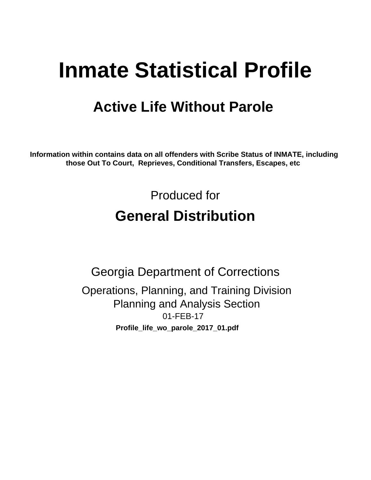# **Inmate Statistical Profile**

# **Active Life Without Parole**

Information within contains data on all offenders with Scribe Status of INMATE, including those Out To Court, Reprieves, Conditional Transfers, Escapes, etc

> Produced for **General Distribution**

**Georgia Department of Corrections** Operations, Planning, and Training Division **Planning and Analysis Section** 01-FEB-17 Profile\_life\_wo\_parole\_2017\_01.pdf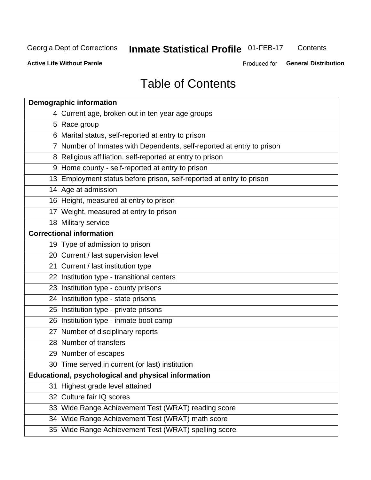# **Inmate Statistical Profile 01-FEB-17**

Contents

**Active Life Without Parole** 

Produced for General Distribution

# **Table of Contents**

|    | <b>Demographic information</b>                                        |
|----|-----------------------------------------------------------------------|
|    | 4 Current age, broken out in ten year age groups                      |
|    | 5 Race group                                                          |
|    | 6 Marital status, self-reported at entry to prison                    |
|    | 7 Number of Inmates with Dependents, self-reported at entry to prison |
|    | 8 Religious affiliation, self-reported at entry to prison             |
|    | 9 Home county - self-reported at entry to prison                      |
|    | 13 Employment status before prison, self-reported at entry to prison  |
|    | 14 Age at admission                                                   |
|    | 16 Height, measured at entry to prison                                |
|    | 17 Weight, measured at entry to prison                                |
|    | 18 Military service                                                   |
|    | <b>Correctional information</b>                                       |
|    | 19 Type of admission to prison                                        |
|    | 20 Current / last supervision level                                   |
|    | 21 Current / last institution type                                    |
|    | 22 Institution type - transitional centers                            |
|    | 23 Institution type - county prisons                                  |
|    | 24 Institution type - state prisons                                   |
|    | 25 Institution type - private prisons                                 |
|    | 26 Institution type - inmate boot camp                                |
|    | 27 Number of disciplinary reports                                     |
|    | 28 Number of transfers                                                |
|    | 29 Number of escapes                                                  |
|    | 30 Time served in current (or last) institution                       |
|    | Educational, psychological and physical information                   |
| 31 | Highest grade level attained                                          |
|    | 32 Culture fair IQ scores                                             |
|    | 33 Wide Range Achievement Test (WRAT) reading score                   |
|    | 34 Wide Range Achievement Test (WRAT) math score                      |
|    | 35 Wide Range Achievement Test (WRAT) spelling score                  |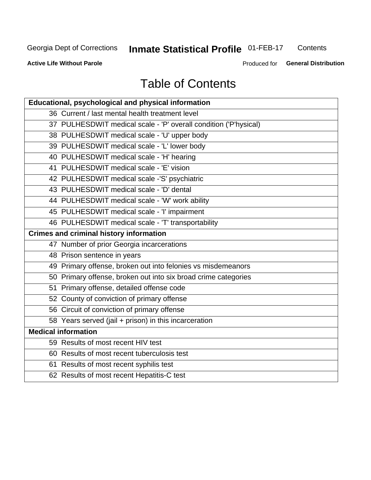# **Inmate Statistical Profile 01-FEB-17**

Contents

**Active Life Without Parole** 

Produced for General Distribution

# **Table of Contents**

| Educational, psychological and physical information              |
|------------------------------------------------------------------|
| 36 Current / last mental health treatment level                  |
| 37 PULHESDWIT medical scale - 'P' overall condition ('P'hysical) |
| 38 PULHESDWIT medical scale - 'U' upper body                     |
| 39 PULHESDWIT medical scale - 'L' lower body                     |
| 40 PULHESDWIT medical scale - 'H' hearing                        |
| 41 PULHESDWIT medical scale - 'E' vision                         |
| 42 PULHESDWIT medical scale -'S' psychiatric                     |
| 43 PULHESDWIT medical scale - 'D' dental                         |
| 44 PULHESDWIT medical scale - 'W' work ability                   |
| 45 PULHESDWIT medical scale - 'I' impairment                     |
| 46 PULHESDWIT medical scale - 'T' transportability               |
| <b>Crimes and criminal history information</b>                   |
| 47 Number of prior Georgia incarcerations                        |
| 48 Prison sentence in years                                      |
| 49 Primary offense, broken out into felonies vs misdemeanors     |
| 50 Primary offense, broken out into six broad crime categories   |
| 51 Primary offense, detailed offense code                        |
| 52 County of conviction of primary offense                       |
| 56 Circuit of conviction of primary offense                      |
| 58 Years served (jail + prison) in this incarceration            |
| <b>Medical information</b>                                       |
| 59 Results of most recent HIV test                               |
| 60 Results of most recent tuberculosis test                      |
| 61 Results of most recent syphilis test                          |
| 62 Results of most recent Hepatitis-C test                       |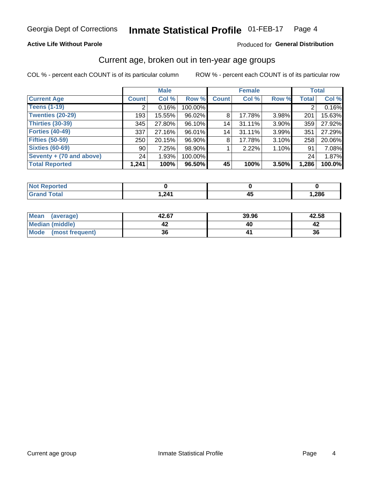## **Active Life Without Parole**

### Produced for General Distribution

# Current age, broken out in ten-year age groups

COL % - percent each COUNT is of its particular column

|                          | <b>Male</b>  |        |         | <b>Female</b> |        |       | <b>Total</b> |        |
|--------------------------|--------------|--------|---------|---------------|--------|-------|--------------|--------|
| <b>Current Age</b>       | <b>Count</b> | Col %  | Row %   | <b>Count</b>  | Col %  | Row % | <b>Total</b> | Col %  |
| <b>Teens (1-19)</b>      | ◠            | 0.16%  | 100.00% |               |        |       | 2            | 0.16%  |
| <b>Twenties (20-29)</b>  | 193          | 15.55% | 96.02%  | 8             | 17.78% | 3.98% | 201          | 15.63% |
| Thirties (30-39)         | 345          | 27.80% | 96.10%  | 14            | 31.11% | 3.90% | 359          | 27.92% |
| <b>Forties (40-49)</b>   | 337          | 27.16% | 96.01%  | 14            | 31.11% | 3.99% | 351          | 27.29% |
| <b>Fifties (50-59)</b>   | 250          | 20.15% | 96.90%  | 8             | 17.78% | 3.10% | 258          | 20.06% |
| <b>Sixties (60-69)</b>   | 90           | 7.25%  | 98.90%  |               | 2.22%  | 1.10% | 91           | 7.08%  |
| Seventy + (70 and above) | 24           | 1.93%  | 100.00% |               |        |       | 24           | 1.87%  |
| <b>Total Reported</b>    | 1,241        | 100%   | 96.50%  | 45            | 100%   | 3.50% | 1,286        | 100.0% |

| <b><i>Contractor</i></b><br>тек |               |      |
|---------------------------------|---------------|------|
| $f \wedge f \wedge f$           | 1.24'<br>. هـ | ,286 |

| <b>Mean</b><br>(average) | 42.67 | 39.96 | 42.58 |
|--------------------------|-------|-------|-------|
| Median (middle)          |       |       |       |
| Mode<br>(most frequent)  | 36    |       | 36    |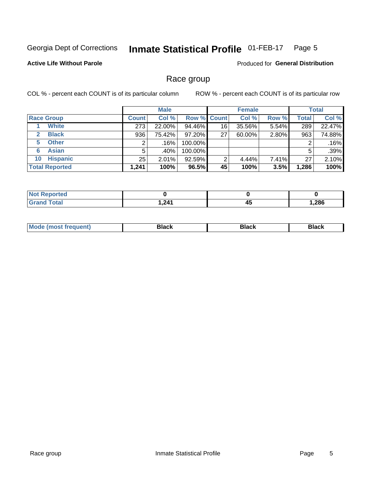#### Inmate Statistical Profile 01-FEB-17 Page 5

## **Active Life Without Parole**

**Produced for General Distribution** 

# Race group

COL % - percent each COUNT is of its particular column

|                              |              | <b>Male</b> |         |                    | <b>Female</b> |       |              | <b>Total</b> |  |
|------------------------------|--------------|-------------|---------|--------------------|---------------|-------|--------------|--------------|--|
| <b>Race Group</b>            | <b>Count</b> | Col %       |         | <b>Row % Count</b> | Col %         | Row % | <b>Total</b> | Col %        |  |
| <b>White</b>                 | 273          | 22.00%      | 94.46%  | 16                 | 35.56%        | 5.54% | 289          | 22.47%       |  |
| <b>Black</b><br>$\mathbf{2}$ | 936          | 75.42%      | 97.20%  | 27                 | 60.00%        | 2.80% | 963          | 74.88%       |  |
| <b>Other</b><br>5.           |              | .16%        | 100.00% |                    |               |       | 2            | .16%         |  |
| <b>Asian</b><br>6            | 5            | .40%        | 100.00% |                    |               |       | 5            | .39%         |  |
| <b>Hispanic</b><br>10        | 25           | 2.01%       | 92.59%  | 2                  | 4.44%         | 7.41% | 27           | 2.10%        |  |
| <b>Total Reported</b>        | 1,241        | 100%        | 96.5%   | 45                 | 100%          | 3.5%  | 1,286        | 100%         |  |

| <b>Not Reported</b> |      |    |      |
|---------------------|------|----|------|
| <b>Total</b>        | ,241 | 45 | ,286 |

| –•••• |  | M |  |  |  |
|-------|--|---|--|--|--|
|-------|--|---|--|--|--|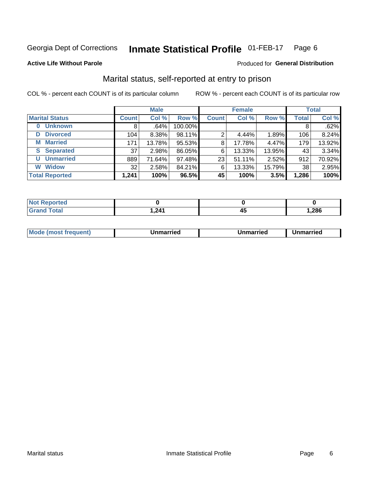#### **Inmate Statistical Profile 01-FEB-17** Page 6

### **Active Life Without Parole**

### Produced for General Distribution

# Marital status, self-reported at entry to prison

COL % - percent each COUNT is of its particular column

|                        | <b>Male</b>  |        |         | <b>Female</b> |        |        | <b>Total</b> |        |
|------------------------|--------------|--------|---------|---------------|--------|--------|--------------|--------|
| <b>Marital Status</b>  | <b>Count</b> | Col %  | Row %   | <b>Count</b>  | Col %  | Row %  | <b>Total</b> | Col %  |
| <b>Unknown</b><br>0    | 8            | .64%   | 100.00% |               |        |        | 8            | .62%   |
| <b>Divorced</b><br>D   | 104          | 8.38%  | 98.11%  | 2             | 4.44%  | 1.89%  | 106          | 8.24%  |
| <b>Married</b><br>М    | 171          | 13.78% | 95.53%  | 8             | 17.78% | 4.47%  | 179          | 13.92% |
| <b>Separated</b><br>S. | 37           | 2.98%  | 86.05%  | 6             | 13.33% | 13.95% | 43           | 3.34%  |
| <b>Unmarried</b><br>U  | 889          | 71.64% | 97.48%  | 23            | 51.11% | 2.52%  | 912          | 70.92% |
| <b>Widow</b><br>W      | 32           | 2.58%  | 84.21%  | 6             | 13.33% | 15.79% | 38           | 2.95%  |
| <b>Total Reported</b>  | 1,241        | 100%   | 96.5%   | 45            | 100%   | 3.5%   | 1,286        | 100%   |

| <b>Not Reported</b><br>$\sim$ . The set of $\sim$ |       |      |
|---------------------------------------------------|-------|------|
| Total                                             | 241.ا | ,286 |

|--|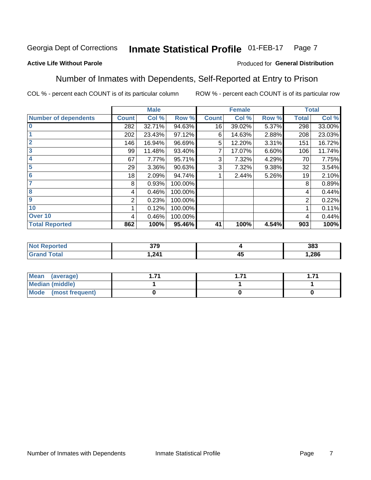#### Inmate Statistical Profile 01-FEB-17 Page 7

## **Active Life Without Parole**

### Produced for General Distribution

# Number of Inmates with Dependents, Self-Reported at Entry to Prison

COL % - percent each COUNT is of its particular column

|                             |              | <b>Male</b> |         |              | <b>Female</b> |       |              | <b>Total</b> |
|-----------------------------|--------------|-------------|---------|--------------|---------------|-------|--------------|--------------|
| <b>Number of dependents</b> | <b>Count</b> | Col %       | Row %   | <b>Count</b> | Col %         | Row % | <b>Total</b> | Col %        |
| $\bf{0}$                    | 282          | 32.71%      | 94.63%  | 16           | 39.02%        | 5.37% | 298          | 33.00%       |
|                             | 202          | 23.43%      | 97.12%  | 6            | 14.63%        | 2.88% | 208          | 23.03%       |
| $\overline{2}$              | 146          | 16.94%      | 96.69%  | 5            | 12.20%        | 3.31% | 151          | 16.72%       |
| 3                           | 99           | 11.48%      | 93.40%  |              | 17.07%        | 6.60% | 106          | 11.74%       |
| 4                           | 67           | 7.77%       | 95.71%  | 3            | 7.32%         | 4.29% | 70           | 7.75%        |
| 5                           | 29           | 3.36%       | 90.63%  | 3            | 7.32%         | 9.38% | 32           | 3.54%        |
| $6\phantom{1}6$             | 18           | 2.09%       | 94.74%  |              | 2.44%         | 5.26% | 19           | 2.10%        |
| 7                           | 8            | 0.93%       | 100.00% |              |               |       | 8            | 0.89%        |
| $\overline{\mathbf{8}}$     | 4            | 0.46%       | 100.00% |              |               |       | 4            | 0.44%        |
| $\boldsymbol{9}$            | 2            | 0.23%       | 100.00% |              |               |       | 2            | 0.22%        |
| 10                          |              | 0.12%       | 100.00% |              |               |       |              | 0.11%        |
| Over 10                     | 4            | 0.46%       | 100.00% |              |               |       | 4            | 0.44%        |
| <b>Total Reported</b>       | 862          | 100%        | 95.46%  | 41           | 100%          | 4.54% | 903          | 100%         |

| τeσ | 270<br>JIJ |                    | 383   |
|-----|------------|--------------------|-------|
|     | 211<br>.   | $\mathbf{r}$<br>≖∾ | 1,286 |

| Mean (average)          |  | -74 |
|-------------------------|--|-----|
| Median (middle)         |  |     |
| Mode<br>(most frequent) |  |     |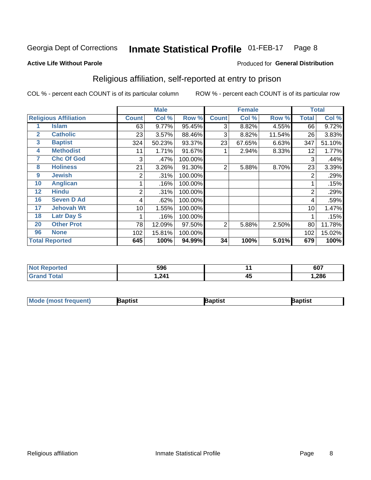#### Inmate Statistical Profile 01-FEB-17 Page 8

### **Active Life Without Parole**

# Produced for General Distribution

# Religious affiliation, self-reported at entry to prison

COL % - percent each COUNT is of its particular column

|              |                              |              | <b>Male</b> |         |              | <b>Female</b> |        |              | <b>Total</b> |
|--------------|------------------------------|--------------|-------------|---------|--------------|---------------|--------|--------------|--------------|
|              | <b>Religious Affiliation</b> | <b>Count</b> | Col %       | Row %   | <b>Count</b> | Col %         | Row %  | <b>Total</b> | Col %        |
|              | <b>Islam</b>                 | 63           | 9.77%       | 95.45%  | 3            | 8.82%         | 4.55%  | 66           | 9.72%        |
| $\mathbf{2}$ | <b>Catholic</b>              | 23           | 3.57%       | 88.46%  | 3            | 8.82%         | 11.54% | 26           | 3.83%        |
| 3            | <b>Baptist</b>               | 324          | 50.23%      | 93.37%  | 23           | 67.65%        | 6.63%  | 347          | 51.10%       |
| 4            | <b>Methodist</b>             | 11           | 1.71%       | 91.67%  |              | 2.94%         | 8.33%  | 12           | 1.77%        |
| 7            | <b>Chc Of God</b>            | 3            | .47%        | 100.00% |              |               |        | 3            | .44%         |
| 8            | <b>Holiness</b>              | 21           | 3.26%       | 91.30%  | 2            | 5.88%         | 8.70%  | 23           | 3.39%        |
| 9            | <b>Jewish</b>                | 2            | .31%        | 100.00% |              |               |        | 2            | .29%         |
| 10           | <b>Anglican</b>              |              | .16%        | 100.00% |              |               |        |              | .15%         |
| 12           | <b>Hindu</b>                 | 2            | .31%        | 100.00% |              |               |        | 2            | .29%         |
| 16           | <b>Seven D Ad</b>            | 4            | .62%        | 100.00% |              |               |        | 4            | .59%         |
| 17           | <b>Jehovah Wt</b>            | 10           | 1.55%       | 100.00% |              |               |        | 10           | 1.47%        |
| 18           | <b>Latr Day S</b>            |              | .16%        | 100.00% |              |               |        |              | .15%         |
| 20           | <b>Other Prot</b>            | 78           | 12.09%      | 97.50%  | 2            | 5.88%         | 2.50%  | 80           | 11.78%       |
| 96           | <b>None</b>                  | 102          | 15.81%      | 100.00% |              |               |        | 102          | 15.02%       |
|              | <b>Total Reported</b>        | 645          | 100%        | 94.99%  | 34           | 100%          | 5.01%  | 679          | 100%         |

| τeα | 596 |    | 607  |
|-----|-----|----|------|
|     | 211 | 45 | ,286 |

| Mod<br>de (most frequent). | 3aptist | aptist | Baptist |
|----------------------------|---------|--------|---------|
|                            |         |        |         |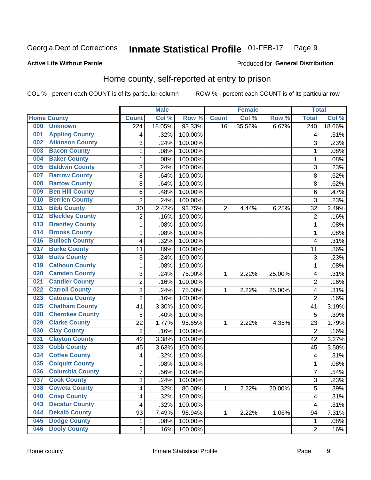#### Inmate Statistical Profile 01-FEB-17 Page 9

### **Active Life Without Parole**

## Produced for General Distribution

# Home county, self-reported at entry to prison

COL % - percent each COUNT is of its particular column

|     |                        |                | <b>Male</b> |         |                | <b>Female</b> |        | <b>Total</b>     |        |
|-----|------------------------|----------------|-------------|---------|----------------|---------------|--------|------------------|--------|
|     | <b>Home County</b>     | <b>Count</b>   | Col%        | Row %   | <b>Count</b>   | Col %         | Row %  | <b>Total</b>     | Col %  |
| 000 | <b>Unknown</b>         | 224            | 18.05%      | 93.33%  | 16             | 35.56%        | 6.67%  | $\overline{240}$ | 18.66% |
| 001 | <b>Appling County</b>  | 4              | .32%        | 100.00% |                |               |        | 4                | .31%   |
| 002 | <b>Atkinson County</b> | 3              | .24%        | 100.00% |                |               |        | 3                | .23%   |
| 003 | <b>Bacon County</b>    | 1              | .08%        | 100.00% |                |               |        | 1                | .08%   |
| 004 | <b>Baker County</b>    | $\mathbf 1$    | .08%        | 100.00% |                |               |        | 1                | .08%   |
| 005 | <b>Baldwin County</b>  | 3              | .24%        | 100.00% |                |               |        | 3                | .23%   |
| 007 | <b>Barrow County</b>   | 8              | .64%        | 100.00% |                |               |        | 8                | .62%   |
| 008 | <b>Bartow County</b>   | 8              | .64%        | 100.00% |                |               |        | 8                | .62%   |
| 009 | <b>Ben Hill County</b> | 6              | .48%        | 100.00% |                |               |        | 6                | .47%   |
| 010 | <b>Berrien County</b>  | 3              | .24%        | 100.00% |                |               |        | 3                | .23%   |
| 011 | <b>Bibb County</b>     | 30             | 2.42%       | 93.75%  | $\overline{2}$ | 4.44%         | 6.25%  | 32               | 2.49%  |
| 012 | <b>Bleckley County</b> | $\overline{2}$ | .16%        | 100.00% |                |               |        | $\overline{2}$   | .16%   |
| 013 | <b>Brantley County</b> | $\mathbf{1}$   | .08%        | 100.00% |                |               |        | 1                | .08%   |
| 014 | <b>Brooks County</b>   | $\mathbf 1$    | .08%        | 100.00% |                |               |        | 1                | .08%   |
| 016 | <b>Bulloch County</b>  | 4              | .32%        | 100.00% |                |               |        | 4                | .31%   |
| 017 | <b>Burke County</b>    | 11             | .89%        | 100.00% |                |               |        | 11               | .86%   |
| 018 | <b>Butts County</b>    | 3              | .24%        | 100.00% |                |               |        | 3                | .23%   |
| 019 | <b>Calhoun County</b>  | $\mathbf 1$    | .08%        | 100.00% |                |               |        | 1                | .08%   |
| 020 | <b>Camden County</b>   | 3              | .24%        | 75.00%  | 1              | 2.22%         | 25.00% | 4                | .31%   |
| 021 | <b>Candler County</b>  | $\overline{2}$ | .16%        | 100.00% |                |               |        | $\overline{2}$   | .16%   |
| 022 | <b>Carroll County</b>  | 3              | .24%        | 75.00%  | 1              | 2.22%         | 25.00% | 4                | .31%   |
| 023 | <b>Catoosa County</b>  | $\overline{2}$ | .16%        | 100.00% |                |               |        | $\overline{2}$   | .16%   |
| 025 | <b>Chatham County</b>  | 41             | 3.30%       | 100.00% |                |               |        | 41               | 3.19%  |
| 028 | <b>Cherokee County</b> | 5              | .40%        | 100.00% |                |               |        | 5                | .39%   |
| 029 | <b>Clarke County</b>   | 22             | 1.77%       | 95.65%  | 1              | 2.22%         | 4.35%  | 23               | 1.79%  |
| 030 | <b>Clay County</b>     | $\overline{2}$ | .16%        | 100.00% |                |               |        | $\overline{2}$   | .16%   |
| 031 | <b>Clayton County</b>  | 42             | 3.38%       | 100.00% |                |               |        | 42               | 3.27%  |
| 033 | <b>Cobb County</b>     | 45             | 3.63%       | 100.00% |                |               |        | 45               | 3.50%  |
| 034 | <b>Coffee County</b>   | 4              | .32%        | 100.00% |                |               |        | 4                | .31%   |
| 035 | <b>Colquitt County</b> | 1              | .08%        | 100.00% |                |               |        | 1                | .08%   |
| 036 | <b>Columbia County</b> | $\overline{7}$ | .56%        | 100.00% |                |               |        | 7                | .54%   |
| 037 | <b>Cook County</b>     | 3              | .24%        | 100.00% |                |               |        | 3                | .23%   |
| 038 | <b>Coweta County</b>   | 4              | .32%        | 80.00%  | 1              | 2.22%         | 20.00% | 5                | .39%   |
| 040 | <b>Crisp County</b>    | 4              | .32%        | 100.00% |                |               |        | 4                | .31%   |
| 043 | <b>Decatur County</b>  | 4              | .32%        | 100.00% |                |               |        | 4                | .31%   |
| 044 | <b>Dekalb County</b>   | 93             | 7.49%       | 98.94%  | 1              | 2.22%         | 1.06%  | 94               | 7.31%  |
| 045 | <b>Dodge County</b>    | 1              | .08%        | 100.00% |                |               |        | 1                | .08%   |
| 046 | <b>Dooly County</b>    | $\overline{2}$ | .16%        | 100.00% |                |               |        | $\overline{2}$   | .16%   |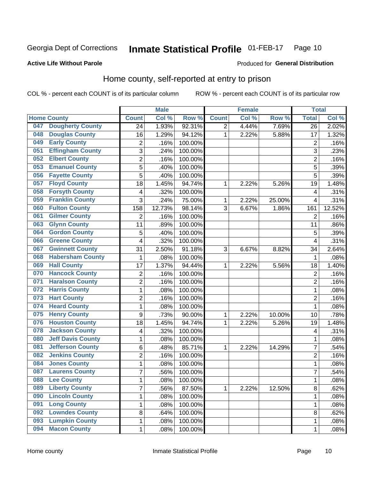#### **Inmate Statistical Profile 01-FEB-17** Page 10

### **Active Life Without Parole**

### Produced for General Distribution

# Home county, self-reported at entry to prison

COL % - percent each COUNT is of its particular column

|     |                          |                  | <b>Male</b> |         |                | <b>Female</b> |        | <b>Total</b>            |        |
|-----|--------------------------|------------------|-------------|---------|----------------|---------------|--------|-------------------------|--------|
|     | <b>Home County</b>       | <b>Count</b>     | Col %       | Row %   | <b>Count</b>   | Col %         | Row %  | <b>Total</b>            | Col %  |
| 047 | <b>Dougherty County</b>  | 24               | 1.93%       | 92.31%  | $\overline{2}$ | 4.44%         | 7.69%  | 26                      | 2.02%  |
| 048 | <b>Douglas County</b>    | 16               | 1.29%       | 94.12%  | 1              | 2.22%         | 5.88%  | 17                      | 1.32%  |
| 049 | <b>Early County</b>      | 2                | .16%        | 100.00% |                |               |        | $\overline{2}$          | .16%   |
| 051 | <b>Effingham County</b>  | 3                | .24%        | 100.00% |                |               |        | 3                       | .23%   |
| 052 | <b>Elbert County</b>     | $\overline{c}$   | .16%        | 100.00% |                |               |        | $\overline{2}$          | .16%   |
| 053 | <b>Emanuel County</b>    | 5                | .40%        | 100.00% |                |               |        | 5                       | .39%   |
| 056 | <b>Fayette County</b>    | 5                | .40%        | 100.00% |                |               |        | 5                       | .39%   |
| 057 | <b>Floyd County</b>      | 18               | 1.45%       | 94.74%  | 1              | 2.22%         | 5.26%  | 19                      | 1.48%  |
| 058 | <b>Forsyth County</b>    | 4                | .32%        | 100.00% |                |               |        | 4                       | .31%   |
| 059 | <b>Franklin County</b>   | 3                | .24%        | 75.00%  | 1              | 2.22%         | 25.00% | $\overline{4}$          | .31%   |
| 060 | <b>Fulton County</b>     | 158              | 12.73%      | 98.14%  | 3              | 6.67%         | 1.86%  | 161                     | 12.52% |
| 061 | <b>Gilmer County</b>     | $\overline{2}$   | .16%        | 100.00% |                |               |        | $\overline{2}$          | .16%   |
| 063 | <b>Glynn County</b>      | 11               | .89%        | 100.00% |                |               |        | 11                      | .86%   |
| 064 | <b>Gordon County</b>     | 5                | .40%        | 100.00% |                |               |        | 5                       | .39%   |
| 066 | <b>Greene County</b>     | 4                | .32%        | 100.00% |                |               |        | $\overline{4}$          | .31%   |
| 067 | <b>Gwinnett County</b>   | 31               | 2.50%       | 91.18%  | 3              | 6.67%         | 8.82%  | 34                      | 2.64%  |
| 068 | <b>Habersham County</b>  | $\mathbf 1$      | .08%        | 100.00% |                |               |        | 1                       | .08%   |
| 069 | <b>Hall County</b>       | 17               | 1.37%       | 94.44%  | 1              | 2.22%         | 5.56%  | 18                      | 1.40%  |
| 070 | <b>Hancock County</b>    | 2                | .16%        | 100.00% |                |               |        | $\overline{2}$          | .16%   |
| 071 | <b>Haralson County</b>   | $\overline{2}$   | .16%        | 100.00% |                |               |        | $\overline{2}$          | .16%   |
| 072 | <b>Harris County</b>     | $\mathbf 1$      | .08%        | 100.00% |                |               |        | 1                       | .08%   |
| 073 | <b>Hart County</b>       | $\overline{2}$   | .16%        | 100.00% |                |               |        | $\overline{2}$          | .16%   |
| 074 | <b>Heard County</b>      | $\mathbf{1}$     | .08%        | 100.00% |                |               |        | 1                       | .08%   |
| 075 | <b>Henry County</b>      | $\boldsymbol{9}$ | .73%        | 90.00%  | 1              | 2.22%         | 10.00% | 10                      | .78%   |
| 076 | <b>Houston County</b>    | 18               | 1.45%       | 94.74%  | 1              | 2.22%         | 5.26%  | 19                      | 1.48%  |
| 078 | <b>Jackson County</b>    | 4                | .32%        | 100.00% |                |               |        | $\overline{\mathbf{4}}$ | .31%   |
| 080 | <b>Jeff Davis County</b> | $\mathbf 1$      | .08%        | 100.00% |                |               |        | 1                       | .08%   |
| 081 | <b>Jefferson County</b>  | 6                | .48%        | 85.71%  | 1              | 2.22%         | 14.29% | 7                       | .54%   |
| 082 | <b>Jenkins County</b>    | $\overline{c}$   | .16%        | 100.00% |                |               |        | $\overline{2}$          | .16%   |
| 084 | <b>Jones County</b>      | $\mathbf{1}$     | .08%        | 100.00% |                |               |        | 1                       | .08%   |
| 087 | <b>Laurens County</b>    | $\overline{7}$   | .56%        | 100.00% |                |               |        | 7                       | .54%   |
| 088 | <b>Lee County</b>        | 1                | .08%        | 100.00% |                |               |        | 1                       | .08%   |
| 089 | <b>Liberty County</b>    | $\overline{7}$   | .56%        | 87.50%  | $\mathbf{1}$   | 2.22%         | 12.50% | 8                       | .62%   |
| 090 | <b>Lincoln County</b>    | $\mathbf 1$      | .08%        | 100.00% |                |               |        | 1                       | .08%   |
| 091 | <b>Long County</b>       | $\mathbf{1}$     | .08%        | 100.00% |                |               |        | 1                       | .08%   |
| 092 | <b>Lowndes County</b>    | 8                | .64%        | 100.00% |                |               |        | 8                       | .62%   |
| 093 | <b>Lumpkin County</b>    | 1                | .08%        | 100.00% |                |               |        | 1                       | .08%   |
| 094 | <b>Macon County</b>      | $\mathbf{1}$     | .08%        | 100.00% |                |               |        | 1                       | .08%   |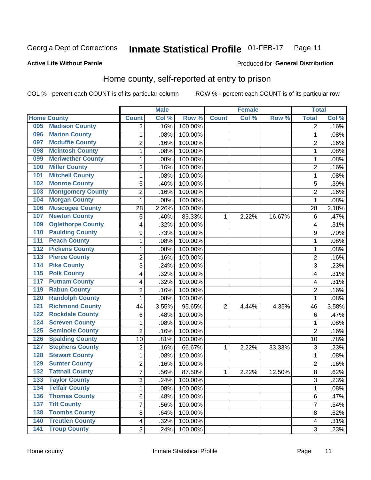#### **Inmate Statistical Profile 01-FEB-17** Page 11

### **Active Life Without Parole**

### Produced for General Distribution

# Home county, self-reported at entry to prison

COL % - percent each COUNT is of its particular column

|                  |                          |                | <b>Male</b> |         |                | <b>Female</b> |        | <b>Total</b>   |       |
|------------------|--------------------------|----------------|-------------|---------|----------------|---------------|--------|----------------|-------|
|                  | <b>Home County</b>       | <b>Count</b>   | Col %       | Row %   | <b>Count</b>   | Col%          | Row %  | <b>Total</b>   | Col % |
| 095              | <b>Madison County</b>    | $\overline{2}$ | .16%        | 100.00% |                |               |        | 2              | .16%  |
| 096              | <b>Marion County</b>     | 1              | .08%        | 100.00% |                |               |        | 1              | .08%  |
| 097              | <b>Mcduffie County</b>   | 2              | .16%        | 100.00% |                |               |        | 2              | .16%  |
| 098              | <b>Mcintosh County</b>   | $\mathbf{1}$   | .08%        | 100.00% |                |               |        | 1              | .08%  |
| 099              | <b>Meriwether County</b> | $\mathbf{1}$   | .08%        | 100.00% |                |               |        | 1              | .08%  |
| 100              | <b>Miller County</b>     | $\overline{2}$ | .16%        | 100.00% |                |               |        | $\overline{2}$ | .16%  |
| 101              | <b>Mitchell County</b>   | $\mathbf{1}$   | .08%        | 100.00% |                |               |        | 1              | .08%  |
| 102              | <b>Monroe County</b>     | 5              | .40%        | 100.00% |                |               |        | 5              | .39%  |
| 103              | <b>Montgomery County</b> | 2              | .16%        | 100.00% |                |               |        | $\overline{c}$ | .16%  |
| 104              | <b>Morgan County</b>     | $\mathbf{1}$   | .08%        | 100.00% |                |               |        | 1              | .08%  |
| 106              | <b>Muscogee County</b>   | 28             | 2.26%       | 100.00% |                |               |        | 28             | 2.18% |
| 107              | <b>Newton County</b>     | 5              | .40%        | 83.33%  | 1              | 2.22%         | 16.67% | 6              | .47%  |
| 109              | <b>Oglethorpe County</b> | 4              | .32%        | 100.00% |                |               |        | 4              | .31%  |
| 110              | <b>Paulding County</b>   | 9              | .73%        | 100.00% |                |               |        | 9              | .70%  |
| 111              | <b>Peach County</b>      | $\mathbf{1}$   | .08%        | 100.00% |                |               |        | 1              | .08%  |
| 112              | <b>Pickens County</b>    | 1              | .08%        | 100.00% |                |               |        | 1              | .08%  |
| 113              | <b>Pierce County</b>     | $\overline{2}$ | .16%        | 100.00% |                |               |        | 2              | .16%  |
| 114              | <b>Pike County</b>       | 3              | .24%        | 100.00% |                |               |        | 3              | .23%  |
| $\overline{115}$ | <b>Polk County</b>       | 4              | .32%        | 100.00% |                |               |        | 4              | .31%  |
| 117              | <b>Putnam County</b>     | 4              | .32%        | 100.00% |                |               |        | 4              | .31%  |
| 119              | <b>Rabun County</b>      | 2              | .16%        | 100.00% |                |               |        | 2              | .16%  |
| 120              | <b>Randolph County</b>   | $\mathbf{1}$   | .08%        | 100.00% |                |               |        | 1              | .08%  |
| 121              | <b>Richmond County</b>   | 44             | 3.55%       | 95.65%  | $\overline{2}$ | 4.44%         | 4.35%  | 46             | 3.58% |
| 122              | <b>Rockdale County</b>   | $\,6$          | .48%        | 100.00% |                |               |        | 6              | .47%  |
| 124              | <b>Screven County</b>    | 1              | .08%        | 100.00% |                |               |        | 1              | .08%  |
| 125              | <b>Seminole County</b>   | $\overline{2}$ | .16%        | 100.00% |                |               |        | $\overline{2}$ | .16%  |
| 126              | <b>Spalding County</b>   | 10             | .81%        | 100.00% |                |               |        | 10             | .78%  |
| 127              | <b>Stephens County</b>   | $\overline{2}$ | .16%        | 66.67%  | 1              | 2.22%         | 33.33% | 3              | .23%  |
| 128              | <b>Stewart County</b>    | 1              | .08%        | 100.00% |                |               |        | 1              | .08%  |
| 129              | <b>Sumter County</b>     | $\overline{2}$ | .16%        | 100.00% |                |               |        | $\overline{2}$ | .16%  |
| 132              | <b>Tattnall County</b>   | $\overline{7}$ | .56%        | 87.50%  | 1              | 2.22%         | 12.50% | 8              | .62%  |
| 133              | <b>Taylor County</b>     | 3              | .24%        | 100.00% |                |               |        | 3              | .23%  |
| 134              | <b>Telfair County</b>    | $\mathbf{1}$   | .08%        | 100.00% |                |               |        | 1              | .08%  |
| 136              | <b>Thomas County</b>     | 6              | .48%        | 100.00% |                |               |        | 6              | .47%  |
| 137              | <b>Tift County</b>       | $\overline{7}$ | .56%        | 100.00% |                |               |        | $\overline{7}$ | .54%  |
| 138              | <b>Toombs County</b>     | 8              | .64%        | 100.00% |                |               |        | 8              | .62%  |
| 140              | <b>Treutlen County</b>   | $\overline{4}$ | .32%        | 100.00% |                |               |        | 4              | .31%  |
| $\overline{141}$ | <b>Troup County</b>      | 3              | .24%        | 100.00% |                |               |        | 3              | .23%  |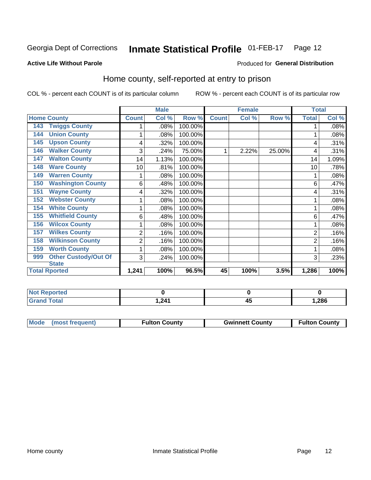#### **Inmate Statistical Profile 01-FEB-17** Page 12

### **Active Life Without Parole**

### Produced for General Distribution

# Home county, self-reported at entry to prison

COL % - percent each COUNT is of its particular column

|                                    |                | <b>Male</b> |         |              | <b>Female</b> |        | <b>Total</b> |       |
|------------------------------------|----------------|-------------|---------|--------------|---------------|--------|--------------|-------|
| <b>Home County</b>                 | <b>Count</b>   | Col %       | Row %   | <b>Count</b> | Col %         | Row %  | <b>Total</b> | Col % |
| <b>Twiggs County</b><br>143        |                | .08%        | 100.00% |              |               |        |              | .08%  |
| <b>Union County</b><br>144         | 1              | .08%        | 100.00% |              |               |        |              | .08%  |
| <b>Upson County</b><br>145         | 4              | .32%        | 100.00% |              |               |        | 4            | .31%  |
| <b>Walker County</b><br>146        | 3              | .24%        | 75.00%  |              | 2.22%         | 25.00% | 4            | .31%  |
| <b>Walton County</b><br>147        | 14             | 1.13%       | 100.00% |              |               |        | 14           | 1.09% |
| <b>Ware County</b><br>148          | 10             | .81%        | 100.00% |              |               |        | 10           | .78%  |
| <b>Warren County</b><br>149        |                | .08%        | 100.00% |              |               |        |              | .08%  |
| <b>Washington County</b><br>150    | 6              | .48%        | 100.00% |              |               |        | 6            | .47%  |
| <b>Wayne County</b><br>151         | 4              | .32%        | 100.00% |              |               |        | 4            | .31%  |
| <b>Webster County</b><br>152       |                | .08%        | 100.00% |              |               |        |              | .08%  |
| <b>White County</b><br>154         | 1              | $.08\%$     | 100.00% |              |               |        |              | .08%  |
| <b>Whitfield County</b><br>155     | 6              | .48%        | 100.00% |              |               |        | 6            | .47%  |
| <b>Wilcox County</b><br>156        | 1              | .08%        | 100.00% |              |               |        |              | .08%  |
| <b>Wilkes County</b><br>157        | $\overline{2}$ | .16%        | 100.00% |              |               |        | 2            | .16%  |
| <b>Wilkinson County</b><br>158     | $\overline{2}$ | .16%        | 100.00% |              |               |        |              | .16%  |
| <b>Worth County</b><br>159         | 1              | .08%        | 100.00% |              |               |        |              | .08%  |
| <b>Other Custody/Out Of</b><br>999 | 3              | .24%        | 100.00% |              |               |        | 3            | .23%  |
| <b>State</b>                       |                |             |         |              |               |        |              |       |
| <b>Total Rported</b>               | 1,241          | 100%        | 96.5%   | 45           | 100%          | 3.5%   | 1,286        | 100%  |

| Reported<br><b>Not</b> |       |       |
|------------------------|-------|-------|
| <b>Total</b>           | 1,241 | 286,، |

| Mode (most frequent)<br><b>Gwinnett County</b><br><b>Fulton County</b> |                      |
|------------------------------------------------------------------------|----------------------|
|                                                                        | <b>Fulton County</b> |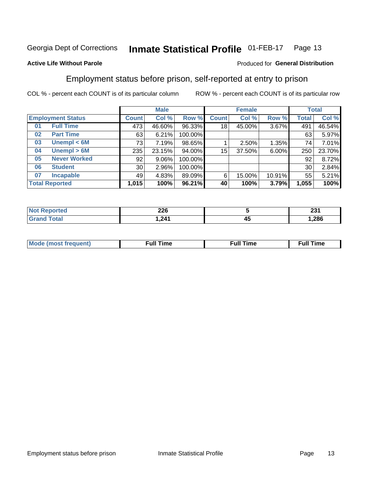#### **Inmate Statistical Profile 01-FEB-17** Page 13

## **Active Life Without Parole**

### Produced for General Distribution

# Employment status before prison, self-reported at entry to prison

COL % - percent each COUNT is of its particular column

|                           |                 | <b>Male</b> |         |              | <b>Female</b> | <b>Total</b> |       |        |
|---------------------------|-----------------|-------------|---------|--------------|---------------|--------------|-------|--------|
| <b>Employment Status</b>  | Count l         | Col %       | Row %   | <b>Count</b> | Col %         | Row %        | Total | Col %  |
| <b>Full Time</b><br>01    | 473             | 46.60%      | 96.33%  | 18           | 45.00%        | $3.67\%$     | 491   | 46.54% |
| <b>Part Time</b><br>02    | 63              | 6.21%       | 100.00% |              |               |              | 63    | 5.97%  |
| Unempl $<$ 6M<br>03       | 73              | 7.19%       | 98.65%  |              | 2.50%         | 1.35%        | 74    | 7.01%  |
| Unempl > 6M<br>04         | 235             | 23.15%      | 94.00%  | 15           | 37.50%        | $6.00\%$     | 250   | 23.70% |
| <b>Never Worked</b><br>05 | 92              | $9.06\%$    | 100.00% |              |               |              | 92    | 8.72%  |
| <b>Student</b><br>06      | 30 <sub>1</sub> | 2.96%       | 100.00% |              |               |              | 30    | 2.84%  |
| <b>Incapable</b><br>07    | 49              | 4.83%       | 89.09%  | 6            | 15.00%        | 10.91%       | 55    | 5.21%  |
| <b>Total Reported</b>     | 1,015           | 100%        | 96.21%  | 40           | 100%          | 3.79%        | 1,055 | 100%   |

| <b>COC</b><br>ZZU                             |    | ດດ⊿<br>ZJ I |
|-----------------------------------------------|----|-------------|
| 211<br>. .<br>the contract of the contract of | 4. | .286        |

| Mc | ∙u∥<br>----<br>ıme | ίuΙ<br>Πmε |
|----|--------------------|------------|
|    |                    |            |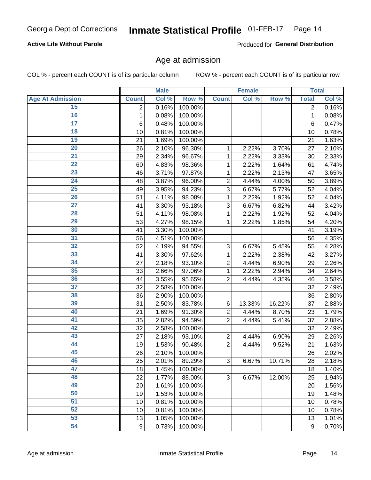## **Active Life Without Parole**

Produced for General Distribution

# Age at admission

COL % - percent each COUNT is of its particular column

|                         |                  | <b>Male</b> |         |                | <b>Female</b> |        |                | <b>Total</b>        |
|-------------------------|------------------|-------------|---------|----------------|---------------|--------|----------------|---------------------|
| <b>Age At Admission</b> | <b>Count</b>     | Col %       | Row %   | <b>Count</b>   | Col %         | Row %  | <b>Total</b>   | Col %               |
| 15                      | 2                | 0.16%       | 100.00% |                |               |        | $\overline{2}$ | 0.16%               |
| 16                      | 1                | 0.08%       | 100.00% |                |               |        | 1              | 0.08%               |
| $\overline{17}$         | 6                | 0.48%       | 100.00% |                |               |        | 6              | 0.47%               |
| 18                      | 10               | 0.81%       | 100.00% |                |               |        | 10             | 0.78%               |
| $\overline{19}$         | 21               | 1.69%       | 100.00% |                |               |        | 21             | 1.63%               |
| $\overline{20}$         | 26               | 2.10%       | 96.30%  | 1              | 2.22%         | 3.70%  | 27             | 2.10%               |
| $\overline{21}$         | 29               | 2.34%       | 96.67%  | 1              | 2.22%         | 3.33%  | 30             | 2.33%               |
| $\overline{22}$         | 60               | 4.83%       | 98.36%  | 1              | 2.22%         | 1.64%  | 61             | 4.74%               |
| 23                      | 46               | 3.71%       | 97.87%  | 1              | 2.22%         | 2.13%  | 47             | 3.65%               |
| $\overline{24}$         | 48               | 3.87%       | 96.00%  | $\overline{2}$ | 4.44%         | 4.00%  | 50             | 3.89%               |
| $\overline{25}$         | 49               | 3.95%       | 94.23%  | 3              | 6.67%         | 5.77%  | 52             | 4.04%               |
| 26                      | 51               | 4.11%       | 98.08%  | 1              | 2.22%         | 1.92%  | 52             | 4.04%               |
| $\overline{27}$         | 41               | 3.30%       | 93.18%  | 3              | 6.67%         | 6.82%  | 44             | 3.42%               |
| 28                      | 51               | 4.11%       | 98.08%  | 1              | 2.22%         | 1.92%  | 52             | 4.04%               |
| 29                      | 53               | 4.27%       | 98.15%  | 1              | 2.22%         | 1.85%  | 54             | 4.20%               |
| 30                      | 41               | 3.30%       | 100.00% |                |               |        | 41             | 3.19%               |
| 31                      | 56               | 4.51%       | 100.00% |                |               |        | 56             | 4.35%               |
| 32                      | 52               | 4.19%       | 94.55%  | 3              | 6.67%         | 5.45%  | 55             | 4.28%               |
| 33                      | 41               | 3.30%       | 97.62%  | 1              | 2.22%         | 2.38%  | 42             | 3.27%               |
| 34                      | 27               | 2.18%       | 93.10%  | $\overline{2}$ | 4.44%         | 6.90%  | 29             | 2.26%               |
| 35                      | 33               | 2.66%       | 97.06%  | 1              | 2.22%         | 2.94%  | 34             | 2.64%               |
| 36                      | 44               | 3.55%       | 95.65%  | $\overline{2}$ | 4.44%         | 4.35%  | 46             | 3.58%               |
| $\overline{37}$         | 32               | 2.58%       | 100.00% |                |               |        | 32             | 2.49%               |
| 38                      | 36               | 2.90%       | 100.00% |                |               |        | 36             | 2.80%               |
| 39                      | 31               | 2.50%       | 83.78%  | 6              | 13.33%        | 16.22% | 37             | 2.88%               |
| 40                      | 21               | 1.69%       | 91.30%  | $\overline{2}$ | 4.44%         | 8.70%  | 23             | 1.79%               |
| 41                      | 35               | 2.82%       | 94.59%  | $\overline{2}$ | 4.44%         | 5.41%  | 37             | 2.88%               |
| 42                      | 32               | 2.58%       | 100.00% |                |               |        | 32             | 2.49%               |
| 43                      | 27               | 2.18%       | 93.10%  | $\overline{2}$ | 4.44%         | 6.90%  | 29             | 2.26%               |
| 44                      | 19               | 1.53%       | 90.48%  | $\overline{2}$ | 4.44%         | 9.52%  | 21             | 1.63%               |
| 45                      | 26               | 2.10%       | 100.00% |                |               |        | 26             | 2.02%               |
| 46                      | 25               | 2.01%       | 89.29%  | 3              | 6.67%         | 10.71% | 28             | 2.18%               |
| 47                      | 18               | 1.45%       | 100.00% |                |               |        | 18             | $\overline{1.40\%}$ |
| 48                      | 22               | 1.77%       | 88.00%  | 3              | 6.67%         | 12.00% | 25             | 1.94%               |
| 49                      | 20               | 1.61%       | 100.00% |                |               |        | 20             | 1.56%               |
| 50                      | 19               | 1.53%       | 100.00% |                |               |        | 19             | 1.48%               |
| $\overline{51}$         | 10               | 0.81%       | 100.00% |                |               |        | 10             | $\overline{0.78\%}$ |
| 52                      | 10               | 0.81%       | 100.00% |                |               |        | 10             | 0.78%               |
| 53                      | 13               | 1.05%       | 100.00% |                |               |        | 13             | 1.01%               |
| 54                      | $\boldsymbol{9}$ | 0.73%       | 100.00% |                |               |        | 9              | 0.70%               |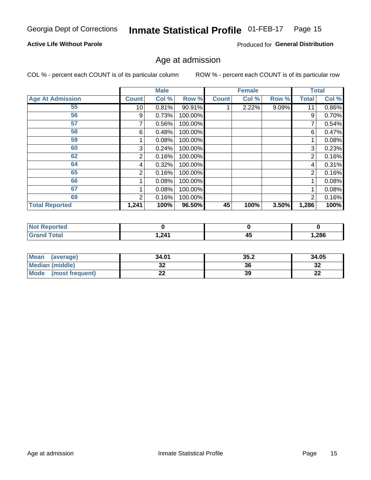#### Inmate Statistical Profile 01-FEB-17 Page 15

# **Active Life Without Parole**

Produced for General Distribution

# Age at admission

COL % - percent each COUNT is of its particular column

|                         |              | <b>Male</b> |         |              | <b>Female</b> |       |                | <b>Total</b> |
|-------------------------|--------------|-------------|---------|--------------|---------------|-------|----------------|--------------|
| <b>Age At Admission</b> | <b>Count</b> | Col %       | Row %   | <b>Count</b> | Col %         | Row % | <b>Total</b>   | Col %        |
| 55                      | 10           | 0.81%       | 90.91%  |              | 2.22%         | 9.09% | 11             | 0.86%        |
| 56                      | 9            | 0.73%       | 100.00% |              |               |       | 9              | 0.70%        |
| 57                      |              | 0.56%       | 100.00% |              |               |       |                | 0.54%        |
| 58                      | 6            | 0.48%       | 100.00% |              |               |       | 6              | 0.47%        |
| 59                      |              | 0.08%       | 100.00% |              |               |       |                | 0.08%        |
| 60                      | 3            | 0.24%       | 100.00% |              |               |       | 3              | 0.23%        |
| 62                      | 2            | 0.16%       | 100.00% |              |               |       | 2              | 0.16%        |
| 64                      | 4            | 0.32%       | 100.00% |              |               |       | 4              | 0.31%        |
| 65                      | 2            | 0.16%       | 100.00% |              |               |       | $\overline{2}$ | 0.16%        |
| 66                      |              | 0.08%       | 100.00% |              |               |       |                | 0.08%        |
| 67                      |              | 0.08%       | 100.00% |              |               |       |                | 0.08%        |
| 69                      | 2            | 0.16%       | 100.00% |              |               |       | $\overline{2}$ | 0.16%        |
| <b>Total Reported</b>   | 1,241        | 100%        | 96.50%  | 45           | 100%          | 3.50% | 1,286          | 100%         |

| ported<br><b>NOT</b>  |      |                |        |
|-----------------------|------|----------------|--------|
| <b>Total</b><br>_____ | ,241 | - -<br>Д.<br>∼ | 286, ا |

| Mean<br>(average)              | 34.01 | 35.2 | 34.05    |
|--------------------------------|-------|------|----------|
| <b>Median (middle)</b>         | u     | 36   | າາ<br>ാച |
| <b>Mode</b><br>(most frequent) | --    | 39   | n,<br>LL |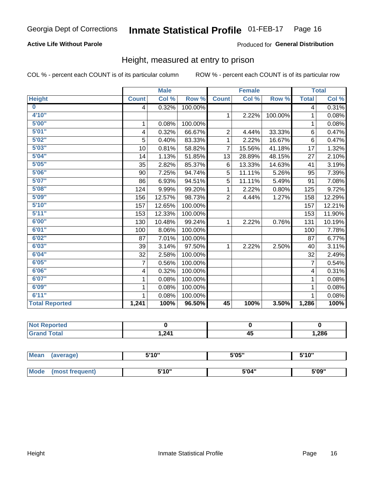# **Active Life Without Parole**

### Produced for General Distribution

# Height, measured at entry to prison

COL % - percent each COUNT is of its particular column

|                       |              | <b>Male</b> |         |                 | <b>Female</b> |         |                | <b>Total</b> |
|-----------------------|--------------|-------------|---------|-----------------|---------------|---------|----------------|--------------|
| <b>Height</b>         | <b>Count</b> | Col %       | Row %   | <b>Count</b>    | Col %         | Row %   | <b>Total</b>   | Col %        |
| $\bf{0}$              | 4            | 0.32%       | 100.00% |                 |               |         | $\overline{4}$ | 0.31%        |
| 4'10"                 |              |             |         | $\mathbf{1}$    | 2.22%         | 100.00% | 1              | 0.08%        |
| 5'00''                | 1            | 0.08%       | 100.00% |                 |               |         | 1              | 0.08%        |
| 5'01"                 | 4            | 0.32%       | 66.67%  | $\overline{2}$  | 4.44%         | 33.33%  | 6              | 0.47%        |
| 5'02"                 | 5            | 0.40%       | 83.33%  | 1               | 2.22%         | 16.67%  | 6              | 0.47%        |
| 5'03''                | 10           | 0.81%       | 58.82%  | $\overline{7}$  | 15.56%        | 41.18%  | 17             | 1.32%        |
| 5'04"                 | 14           | 1.13%       | 51.85%  | 13              | 28.89%        | 48.15%  | 27             | 2.10%        |
| 5'05"                 | 35           | 2.82%       | 85.37%  | 6               | 13.33%        | 14.63%  | 41             | 3.19%        |
| 5'06''                | 90           | 7.25%       | 94.74%  | 5               | 11.11%        | 5.26%   | 95             | 7.39%        |
| 5'07''                | 86           | 6.93%       | 94.51%  | 5               | 11.11%        | 5.49%   | 91             | 7.08%        |
| 5'08''                | 124          | 9.99%       | 99.20%  | 1               | 2.22%         | 0.80%   | 125            | 9.72%        |
| 5'09''                | 156          | 12.57%      | 98.73%  | $\overline{2}$  | 4.44%         | 1.27%   | 158            | 12.29%       |
| 5'10''                | 157          | 12.65%      | 100.00% |                 |               |         | 157            | 12.21%       |
| 5'11"                 | 153          | 12.33%      | 100.00% |                 |               |         | 153            | 11.90%       |
| 6'00"                 | 130          | 10.48%      | 99.24%  | 1               | 2.22%         | 0.76%   | 131            | 10.19%       |
| 6'01''                | 100          | 8.06%       | 100.00% |                 |               |         | 100            | 7.78%        |
| 6'02"                 | 87           | 7.01%       | 100.00% |                 |               |         | 87             | 6.77%        |
| 6'03''                | 39           | 3.14%       | 97.50%  | $\mathbf{1}$    | 2.22%         | 2.50%   | 40             | 3.11%        |
| 6'04"                 | 32           | 2.58%       | 100.00% |                 |               |         | 32             | 2.49%        |
| 6'05"                 | 7            | 0.56%       | 100.00% |                 |               |         | $\overline{7}$ | 0.54%        |
| 6'06''                | 4            | 0.32%       | 100.00% |                 |               |         | $\overline{4}$ | 0.31%        |
| 6'07''                | 1            | 0.08%       | 100.00% |                 |               |         | 1              | 0.08%        |
| 6'09''                | 1            | 0.08%       | 100.00% |                 |               |         | 1              | 0.08%        |
| 6'11''                | 1            | 0.08%       | 100.00% |                 |               |         |                | 0.08%        |
| <b>Total Reported</b> | 1,241        | 100%        | 96.50%  | $\overline{45}$ | 100%          | 3.50%   | 1,286          | 100%         |

| <b>ceported</b><br>NOT R<br>$\cdots$ |      |   |             |
|--------------------------------------|------|---|-------------|
| <b>ota</b>                           | .211 | ≁ | <b>286,</b> |

| <b>Mean</b> | (average)       | 5'10" | 5'05" | 5'10" |
|-------------|-----------------|-------|-------|-------|
|             |                 |       |       |       |
| Mode        | (most frequent) | 5'10" | 5'04" | 5'09" |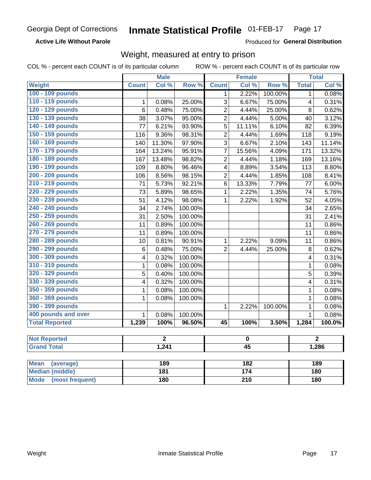**Active Life Without Parole** 

Produced for General Distribution

# Weight, measured at entry to prison

|                                |              | <b>Male</b>    |         |                         | <b>Female</b>   |         |              | <b>Total</b>   |  |
|--------------------------------|--------------|----------------|---------|-------------------------|-----------------|---------|--------------|----------------|--|
| <b>Weight</b>                  | <b>Count</b> | Col %          | Row %   | <b>Count</b>            | Col %           | Row %   | <b>Total</b> | Col %          |  |
| 100 - 109 pounds               |              |                |         | 1                       | 2.22%           | 100.00% | $\mathbf{1}$ | 0.08%          |  |
| 110 - 119 pounds               | $\mathbf{1}$ | 0.08%          | 25.00%  | $\overline{3}$          | 6.67%           | 75.00%  | 4            | 0.31%          |  |
| 120 - 129 pounds               | 6            | 0.48%          | 75.00%  | $\overline{2}$          | 4.44%           | 25.00%  | 8            | 0.62%          |  |
| 130 - 139 pounds               | 38           | 3.07%          | 95.00%  | $\overline{2}$          | 4.44%           | 5.00%   | 40           | 3.12%          |  |
| 140 - 149 pounds               | 77           | 6.21%          | 93.90%  | $\overline{5}$          | 11.11%          | 6.10%   | 82           | 6.39%          |  |
| 150 - 159 pounds               | 116          | 9.36%          | 98.31%  | $\overline{2}$          | 4.44%           | 1.69%   | 118          | 9.19%          |  |
| 160 - 169 pounds               | 140          | 11.30%         | 97.90%  | $\overline{3}$          | 6.67%           | 2.10%   | 143          | 11.14%         |  |
| 170 - 179 pounds               | 164          | 13.24%         | 95.91%  | $\overline{7}$          | 15.56%          | 4.09%   | 171          | 13.32%         |  |
| 180 - 189 pounds               | 167          | 13.48%         | 98.82%  | $\overline{2}$          | 4.44%           | 1.18%   | 169          | 13.16%         |  |
| 190 - 199 pounds               | 109          | 8.80%          | 96.46%  | $\overline{\mathbf{4}}$ | 8.89%           | 3.54%   | 113          | 8.80%          |  |
| 200 - 209 pounds               | 106          | 8.56%          | 98.15%  | $\overline{2}$          | 4.44%           | 1.85%   | 108          | 8.41%          |  |
| 210 - 219 pounds               | 71           | 5.73%          | 92.21%  | 6                       | 13.33%          | 7.79%   | 77           | 6.00%          |  |
| 220 - 229 pounds               | 73           | 5.89%          | 98.65%  | $\mathbf{1}$            | 2.22%           | 1.35%   | 74           | 5.76%          |  |
| 230 - 239 pounds               | 51           | 4.12%          | 98.08%  | $\mathbf{1}$            | 2.22%           | 1.92%   | 52           | 4.05%          |  |
| 240 - 249 pounds               | 34           | 2.74%          | 100.00% |                         |                 |         | 34           | 2.65%          |  |
| 250 - 259 pounds               | 31           | 2.50%          | 100.00% |                         |                 |         | 31           | 2.41%          |  |
| 260 - 269 pounds               | 11           | 0.89%          | 100.00% |                         |                 |         | 11           | 0.86%          |  |
| 270 - 279 pounds               | 11           | 0.89%          | 100.00% |                         |                 |         | 11           | 0.86%          |  |
| 280 - 289 pounds               | 10           | 0.81%          | 90.91%  | $\mathbf{1}$            | 2.22%           | 9.09%   | 11           | 0.86%          |  |
| 290 - 299 pounds               | 6            | 0.48%          | 75.00%  | $\overline{2}$          | 4.44%           | 25.00%  | $\, 8$       | 0.62%          |  |
| 300 - 309 pounds               | 4            | 0.32%          | 100.00% |                         |                 |         | 4            | 0.31%          |  |
| 310 - 319 pounds               | 1            | 0.08%          | 100.00% |                         |                 |         | $\mathbf{1}$ | 0.08%          |  |
| 320 - 329 pounds               | 5            | 0.40%          | 100.00% |                         |                 |         | 5            | 0.39%          |  |
| 330 - 339 pounds               | 4            | 0.32%          | 100.00% |                         |                 |         | 4            | 0.31%          |  |
| 350 - 359 pounds               | 1            | 0.08%          | 100.00% |                         |                 |         | 1            | 0.08%          |  |
| 360 - 369 pounds               | $\mathbf{1}$ | 0.08%          | 100.00% |                         |                 |         | $\mathbf{1}$ | 0.08%          |  |
| 390 - 399 pounds               |              |                |         | $\mathbf{1}$            | 2.22%           | 100.00% | $\mathbf{1}$ | 0.08%          |  |
| 400 pounds and over            | $\mathbf{1}$ | 0.08%          | 100.00% |                         |                 |         | $\mathbf{1}$ | 0.08%          |  |
| <b>Total Reported</b>          | 1,239        | 100%           | 96.50%  | $\overline{45}$         | 100%            | 3.50%   | 1,284        | 100.0%         |  |
|                                |              |                |         |                         |                 |         |              |                |  |
| <b>Not Reported</b>            |              | $\overline{2}$ |         |                         | $\bf{0}$        |         |              | $\overline{2}$ |  |
| <b>Grand Total</b>             |              | 1,241          |         |                         | $\overline{45}$ |         |              | 1,286          |  |
| <b>Mean</b><br>(average)       |              | 189            |         |                         | 182             |         |              | 189            |  |
| <b>Median (middle)</b>         |              | 181            |         |                         | 174             |         |              | <b>180</b>     |  |
| <b>Mode</b><br>(most frequent) |              | 180            |         | $\overline{210}$        |                 |         | <b>180</b>   |                |  |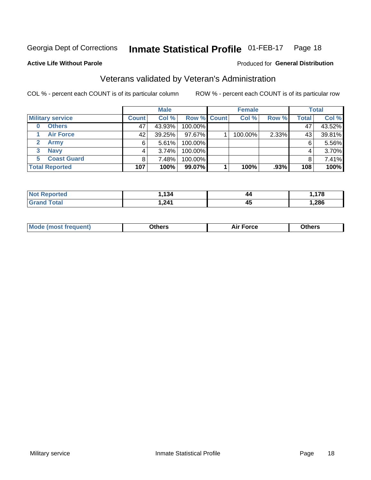#### Inmate Statistical Profile 01-FEB-17 Page 18

Produced for General Distribution

# **Active Life Without Parole**

# Veterans validated by Veteran's Administration

COL % - percent each COUNT is of its particular column

|                          |              | <b>Male</b> |                    | <b>Female</b> |       |              | <b>Total</b> |
|--------------------------|--------------|-------------|--------------------|---------------|-------|--------------|--------------|
| <b>Military service</b>  | <b>Count</b> | Col %       | <b>Row % Count</b> | Col %         | Row % | <b>Total</b> | Col %        |
| <b>Others</b><br>0       | 47           | 43.93%      | 100.00%            |               |       | 47           | 43.52%       |
| <b>Air Force</b>         | 42           | 39.25%      | 97.67%             | 100.00%       | 2.33% | 43           | 39.81%       |
| <b>Army</b>              | 6            | 5.61%       | 100.00%            |               |       | 6            | 5.56%        |
| <b>Navy</b><br>3         |              | 3.74%       | 100.00%            |               |       | 4            | 3.70%        |
| <b>Coast Guard</b><br>5. | 8            | 7.48%       | 100.00%            |               |       | 8            | 7.41%        |
| <b>Total Reported</b>    | 107          | 100%        | 99.07%             | 100%          | .93%  | 108          | 100%         |

| rtea :       | $\overline{101}$ | 44 | 170<br>$\sim$ |
|--------------|------------------|----|---------------|
| <b>Total</b> | . 241            | 45 | ,286          |

| Mo<br>m | ∖‡h∧rc<br>_____ | $-0.002$<br>28 F T<br>UI CE | <b>Others</b><br>____ |
|---------|-----------------|-----------------------------|-----------------------|
|         |                 |                             |                       |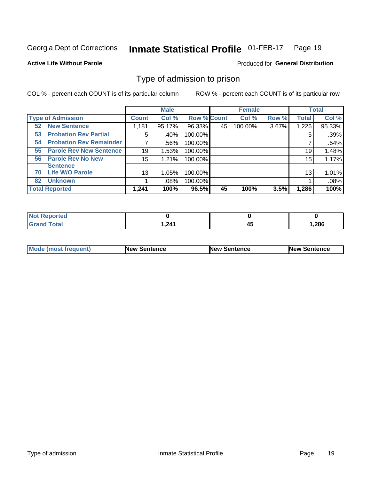#### **Inmate Statistical Profile 01-FEB-17** Page 19

**Active Life Without Parole** 

Produced for General Distribution

# Type of admission to prison

COL % - percent each COUNT is of its particular column

|                                      |              | <b>Male</b> |                    |    | <b>Female</b> |       |              | <b>Total</b> |
|--------------------------------------|--------------|-------------|--------------------|----|---------------|-------|--------------|--------------|
| <b>Type of Admission</b>             | <b>Count</b> | Col %       | <b>Row % Count</b> |    | Col %         | Row % | <b>Total</b> | Col %        |
| <b>New Sentence</b><br>52            | 1,181        | 95.17%      | 96.33%             | 45 | 100.00%       | 3.67% | 1,226        | 95.33%       |
| <b>Probation Rev Partial</b><br>53   | 5            | .40%        | 100.00%            |    |               |       | 5            | .39%         |
| <b>Probation Rev Remainder</b><br>54 | 7            | .56%        | 100.00%            |    |               |       |              | .54%         |
| <b>Parole Rev New Sentence</b><br>55 | 19           | 1.53%       | 100.00%            |    |               |       | 19           | 1.48%        |
| <b>Parole Rev No New</b><br>56       | 15           | 1.21%       | 100.00%            |    |               |       | 15           | 1.17%        |
| <b>Sentence</b>                      |              |             |                    |    |               |       |              |              |
| <b>Life W/O Parole</b><br>70         | 13           | 1.05%       | 100.00%            |    |               |       | 13           | 1.01%        |
| <b>Unknown</b><br>82                 |              | $.08\%$     | 100.00%            |    |               |       |              | .08%         |
| <b>Total Reported</b>                | 1,241        | 100%        | 96.5%              | 45 | 100%          | 3.5%  | 1,286        | 100%         |

| Reported<br><b>NOT</b> |          |    |      |
|------------------------|----------|----|------|
| Total<br>"Gran.        | 211<br>. | ᠇᠊ | .286 |

| Mode (most frequent) | <b>New Sentence</b> | <b>New Sentence</b> | <b>New Sentence</b> |
|----------------------|---------------------|---------------------|---------------------|
|                      |                     |                     |                     |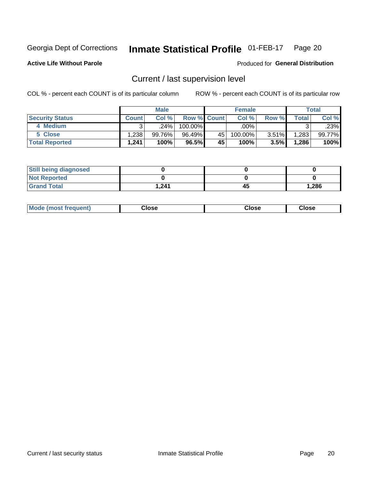#### Inmate Statistical Profile 01-FEB-17 Page 20

**Active Life Without Parole** 

Produced for General Distribution

# Current / last supervision level

COL % - percent each COUNT is of its particular column

|                        |              | <b>Male</b> |                    |    | <b>Female</b> |       |       | <b>Total</b> |
|------------------------|--------------|-------------|--------------------|----|---------------|-------|-------|--------------|
| <b>Security Status</b> | <b>Count</b> | Col%        | <b>Row % Count</b> |    | Col %         | Row % | Total | Col %        |
| 4 Medium               | ົ            | $.24\%$     | $100.00\%$         |    | .00%          |       |       | .23%         |
| 5 Close                | 1,238        | 99.76%      | 96.49%             | 45 | 100.00%       | 3.51% | 1,283 | 99.77%       |
| <b>Total Reported</b>  | 1,241        | 100%        | 96.5%              | 45 | 100%          | 3.5%  | 1,286 | 100%         |

| <b>Still being diagnosed</b> |       |    |       |
|------------------------------|-------|----|-------|
| <b>Not Reported</b>          |       |    |       |
| <b>Grand Total</b>           | 241.ا | 45 | 1,286 |

| <b>Mode (most frequent)</b> | Close | ∵lose | Close |
|-----------------------------|-------|-------|-------|
|                             |       |       |       |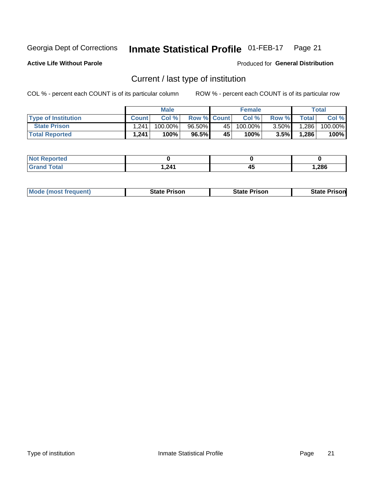#### Inmate Statistical Profile 01-FEB-17 Page 21

**Active Life Without Parole** 

Produced for General Distribution

# Current / last type of institution

COL % - percent each COUNT is of its particular column

|                            |              | <b>Male</b> |                    |                 | <b>Female</b> |          |        | <b>Total</b> |
|----------------------------|--------------|-------------|--------------------|-----------------|---------------|----------|--------|--------------|
| <b>Type of Institution</b> | <b>Count</b> | Col%        | <b>Row % Count</b> |                 | Col %         | Row %    | Total  | Col %        |
| <b>State Prison</b>        | .241         | $100.00\%$  | $96.50\%$          | 45              | $100.00\%$    | $3.50\%$ | ا 286. | 100.00%      |
| <b>Total Reported</b>      | 1,241        | 100%        | 96.5%              | 45 <sup>1</sup> | $100\%$ .     | 3.5%     | 1,286  | 100%         |

| τeα<br>$\sim$ |            |    |        |
|---------------|------------|----|--------|
|               | 1.24'<br>, | 45 | 286, ا |

|  | <b>Mode (most frequent)</b> | State Prison | <b>State Prison</b> | <b>State Prison</b> |
|--|-----------------------------|--------------|---------------------|---------------------|
|--|-----------------------------|--------------|---------------------|---------------------|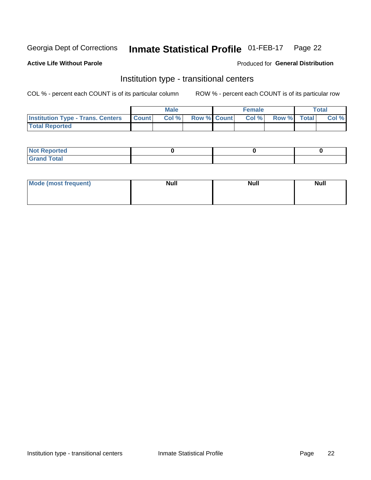#### Inmate Statistical Profile 01-FEB-17 Page 22

### **Active Life Without Parole**

### Produced for General Distribution

# Institution type - transitional centers

COL % - percent each COUNT is of its particular column

|                                                | Male  |                    | <b>Female</b> |                   | Total |
|------------------------------------------------|-------|--------------------|---------------|-------------------|-------|
| <b>Institution Type - Trans. Centers Count</b> | Col % | <b>Row % Count</b> |               | Col % Row % Total | Col % |
| <b>Total Reported</b>                          |       |                    |               |                   |       |

| <b>Reported</b><br><b>NOT</b><br>$\sim$            |  |  |
|----------------------------------------------------|--|--|
| $f$ $f \circ f \circ f$<br>$C = 1$<br><b>TULAI</b> |  |  |

| Mode (most frequent) | <b>Null</b> | <b>Null</b> | <b>Null</b> |
|----------------------|-------------|-------------|-------------|
|                      |             |             |             |
|                      |             |             |             |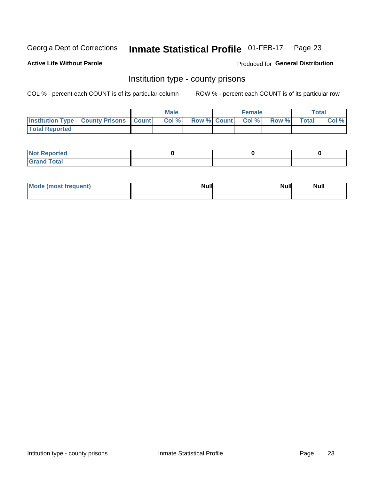#### Inmate Statistical Profile 01-FEB-17 Page 23

**Active Life Without Parole** 

Produced for General Distribution

# Institution type - county prisons

COL % - percent each COUNT is of its particular column

|                                                    | <b>Male</b> |       |                          | <b>Female</b> |  |             | <b>Total</b> |       |
|----------------------------------------------------|-------------|-------|--------------------------|---------------|--|-------------|--------------|-------|
| <b>Institution Type - County Prisons   Count  </b> |             | Col % | <b>Row % Count Col %</b> |               |  | Row % Total |              | Col % |
| <b>Total Reported</b>                              |             |       |                          |               |  |             |              |       |

| <b>Not Reported</b>   |  |  |
|-----------------------|--|--|
| <b>Total</b><br>Granc |  |  |

| Mode (most frequent) | <b>Null</b> | <b>Null</b><br><b>Null</b> |
|----------------------|-------------|----------------------------|
|                      |             |                            |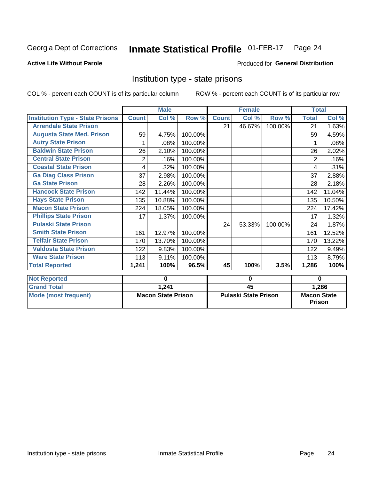#### Inmate Statistical Profile 01-FEB-17 Page 24

### **Active Life Without Parole**

# Produced for General Distribution

# Institution type - state prisons

COL % - percent each COUNT is of its particular column

|                                         | <b>Male</b>               |        |          |                             | <b>Female</b> |         | <b>Total</b>                        |                    |
|-----------------------------------------|---------------------------|--------|----------|-----------------------------|---------------|---------|-------------------------------------|--------------------|
| <b>Institution Type - State Prisons</b> | <b>Count</b>              | Col %  | Row %    | <b>Count</b>                | Col %         | Row %   | <b>Total</b>                        | Col %              |
| <b>Arrendale State Prison</b>           |                           |        |          | 21                          | 46.67%        | 100.00% | 21                                  | 1.63%              |
| <b>Augusta State Med. Prison</b>        | 59                        | 4.75%  | 100.00%  |                             |               |         | 59                                  | 4.59%              |
| <b>Autry State Prison</b>               | 1                         | .08%   | 100.00%  |                             |               |         | 1                                   | .08%               |
| <b>Baldwin State Prison</b>             | 26                        | 2.10%  | 100.00%  |                             |               |         | 26                                  | 2.02%              |
| <b>Central State Prison</b>             | 2                         | .16%   | 100.00%  |                             |               |         | 2                                   | .16%               |
| <b>Coastal State Prison</b>             | 4                         | .32%   | 100.00%  |                             |               |         | 4                                   | .31%               |
| <b>Ga Diag Class Prison</b>             | 37                        | 2.98%  | 100.00%  |                             |               |         | 37                                  | 2.88%              |
| <b>Ga State Prison</b>                  | 28                        | 2.26%  | 100.00%  |                             |               |         | 28                                  | 2.18%              |
| <b>Hancock State Prison</b>             | 142                       | 11.44% | 100.00%  |                             |               |         | 142                                 | 11.04%             |
| <b>Hays State Prison</b>                | 135                       | 10.88% | 100.00%  |                             |               |         | 135                                 | 10.50%             |
| <b>Macon State Prison</b>               | 224                       | 18.05% | 100.00%  |                             |               |         | 224                                 | 17.42%             |
| <b>Phillips State Prison</b>            | 17                        | 1.37%  | 100.00%  |                             |               |         | 17                                  | 1.32%              |
| <b>Pulaski State Prison</b>             |                           |        |          | 24                          | 53.33%        | 100.00% | 24                                  | 1.87%              |
| <b>Smith State Prison</b>               | 161                       | 12.97% | 100.00%  |                             |               |         | 161                                 | 12.52%             |
| <b>Telfair State Prison</b>             | 170                       | 13.70% | 100.00%  |                             |               |         | 170                                 | 13.22%             |
| <b>Valdosta State Prison</b>            | 122                       | 9.83%  | 100.00%  |                             |               |         | 122                                 | 9.49%              |
| <b>Ware State Prison</b>                | 113                       | 9.11%  | 100.00%  |                             |               |         | 113                                 | 8.79%              |
| <b>Total Reported</b>                   | 1,241                     | 100%   | 96.5%    | 45                          | 100%          | 3.5%    | 1,286                               | $\overline{100\%}$ |
| <b>Not Reported</b>                     | 0                         |        | $\bf{0}$ |                             |               |         | $\bf{0}$                            |                    |
| <b>Grand Total</b>                      |                           | 1,241  |          | 45                          |               |         | 1,286                               |                    |
| <b>Mode (most frequent)</b>             | <b>Macon State Prison</b> |        |          | <b>Pulaski State Prison</b> |               |         | <b>Macon State</b><br><b>Prison</b> |                    |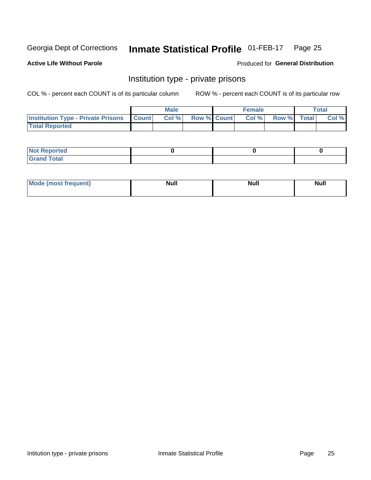#### Inmate Statistical Profile 01-FEB-17 Page 25

### **Active Life Without Parole**

### Produced for General Distribution

# Institution type - private prisons

COL % - percent each COUNT is of its particular column

|                                                 | <b>Male</b> |       |                    | <b>Female</b> |       |             | Total |       |
|-------------------------------------------------|-------------|-------|--------------------|---------------|-------|-------------|-------|-------|
| <b>Institution Type - Private Prisons Count</b> |             | Col % | <b>Row % Count</b> |               | Col % | Row % Total |       | Col % |
| <b>Total Reported</b>                           |             |       |                    |               |       |             |       |       |

| Not Reported           |  |  |
|------------------------|--|--|
| <b>Cotal</b><br>______ |  |  |

| Moc<br>`auent) | <b>Null</b> | <b>Null</b> | _____ |
|----------------|-------------|-------------|-------|
|                |             |             |       |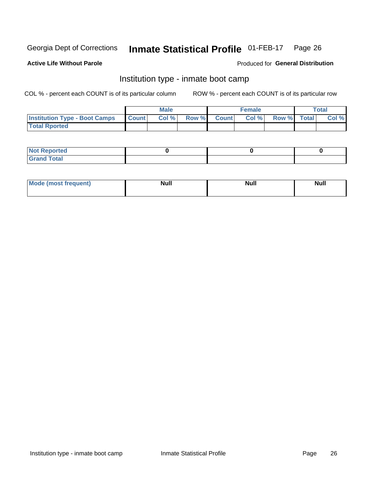#### **Inmate Statistical Profile 01-FEB-17** Page 26

### **Active Life Without Parole**

### Produced for General Distribution

# Institution type - inmate boot camp

COL % - percent each COUNT is of its particular column

|                                      | <b>Male</b>  |       |               |              | <b>Female</b> | <b>Total</b> |  |       |
|--------------------------------------|--------------|-------|---------------|--------------|---------------|--------------|--|-------|
| <b>Institution Type - Boot Camps</b> | <b>Count</b> | Col % | <b>Row %I</b> | <b>Count</b> | Col %         | Row % Total  |  | Col % |
| <b>Total Rported</b>                 |              |       |               |              |               |              |  |       |

| <b>Not Reported</b>            |  |  |
|--------------------------------|--|--|
| <b>Total</b><br>C <sub>r</sub> |  |  |

| Mod<br>uamo | Nul.<br>$- - - - - -$ | <b>Null</b> | . .<br>uu.<br>------ |
|-------------|-----------------------|-------------|----------------------|
|             |                       |             |                      |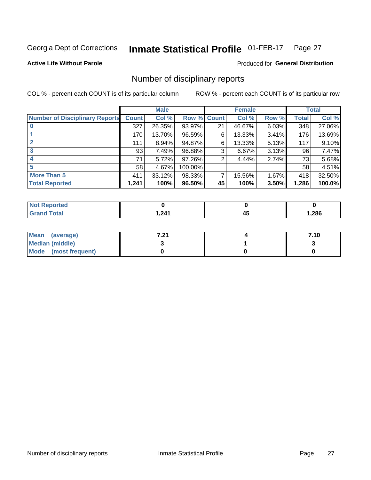#### Inmate Statistical Profile 01-FEB-17 Page 27

**Active Life Without Parole** 

**Produced for General Distribution** 

# Number of disciplinary reports

COL % - percent each COUNT is of its particular column

|                                       | <b>Male</b>  |          |             |    | <b>Female</b> | <b>Total</b> |              |        |
|---------------------------------------|--------------|----------|-------------|----|---------------|--------------|--------------|--------|
| <b>Number of Disciplinary Reports</b> | <b>Count</b> | Col %    | Row % Count |    | Col %         | Row %        | <b>Total</b> | Col %  |
|                                       | 327          | 26.35%   | 93.97%      | 21 | 46.67%        | 6.03%        | 348          | 27.06% |
|                                       | 170          | 13.70%   | 96.59%      | 6  | 13.33%        | 3.41%        | 176          | 13.69% |
| $\mathbf{2}$                          | 111          | $8.94\%$ | 94.87%      | 6  | 13.33%        | 5.13%        | 117          | 9.10%  |
| 3                                     | 93           | 7.49%    | 96.88%      | 3  | 6.67%         | $3.13\%$     | 96           | 7.47%  |
|                                       | 71           | 5.72%    | 97.26%      | 2  | 4.44%         | 2.74%        | 73           | 5.68%  |
| 5                                     | 58           | 4.67%    | 100.00%     |    |               |              | 58           | 4.51%  |
| <b>More Than 5</b>                    | 411          | 33.12%   | 98.33%      | 7  | 15.56%        | 1.67%        | 418          | 32.50% |
| <b>Total Reported</b>                 | 1,241        | 100%     | 96.50%      | 45 | 100%          | 3.50%        | 1,286        | 100.0% |

| <b>rteo</b><br>NO |                |    |       |
|-------------------|----------------|----|-------|
| <b>Total</b>      | 241<br>. L T I | −~ | 286,، |

| Mean (average)       | 7 94<br>$\sim$ | 7.10 |
|----------------------|----------------|------|
| Median (middle)      |                |      |
| Mode (most frequent) |                |      |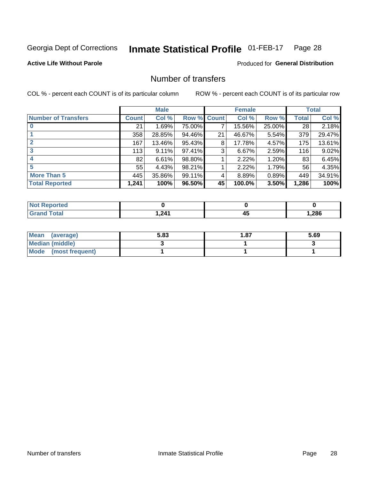#### Inmate Statistical Profile 01-FEB-17 Page 28

**Active Life Without Parole** 

**Produced for General Distribution** 

# Number of transfers

COL % - percent each COUNT is of its particular column

|                            | <b>Male</b> |          | <b>Female</b> |              |        | <b>Total</b> |              |          |
|----------------------------|-------------|----------|---------------|--------------|--------|--------------|--------------|----------|
| <b>Number of Transfers</b> | Count l     | Col %    | Row %         | <b>Count</b> | Col %  | Row %        | <b>Total</b> | Col %    |
|                            | 21          | 1.69%    | 75.00%        | 7            | 15.56% | 25.00%       | 28           | 2.18%    |
|                            | 358         | 28.85%   | 94.46%        | 21           | 46.67% | 5.54%        | 379          | 29.47%   |
| 2                          | 167         | 13.46%   | 95.43%        | 8            | 17.78% | 4.57%        | 175          | 13.61%   |
| 3                          | 113         | $9.11\%$ | 97.41%        | 3            | 6.67%  | $2.59\%$     | 116          | $9.02\%$ |
|                            | 82          | 6.61%    | 98.80%        |              | 2.22%  | 1.20%        | 83           | 6.45%    |
| 5                          | 55          | 4.43%    | 98.21%        |              | 2.22%  | 1.79%        | 56           | 4.35%    |
| <b>More Than 5</b>         | 445         | 35.86%   | 99.11%        | 4            | 8.89%  | 0.89%        | 449          | 34.91%   |
| <b>Total Reported</b>      | 1,241       | 100%     | 96.50%        | 45           | 100.0% | 3.50%        | 1,286        | 100%     |

| prted<br><b>NOT REDC</b> |                |     |       |
|--------------------------|----------------|-----|-------|
| <sup>-</sup> otal        | 241<br>. L T I | - 7 | 286,، |

| Mean (average)       | 5.83 | 1.87 | 5.69 |
|----------------------|------|------|------|
| Median (middle)      |      |      |      |
| Mode (most frequent) |      |      |      |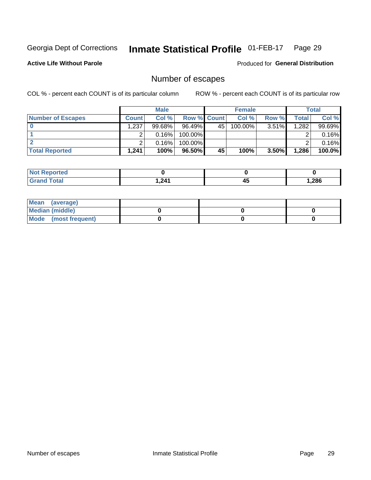#### Inmate Statistical Profile 01-FEB-17 Page 29

**Active Life Without Parole** 

**Produced for General Distribution** 

# Number of escapes

COL % - percent each COUNT is of its particular column

|                          | <b>Male</b>  |           |                    | <b>Female</b> |         |          | Total |        |
|--------------------------|--------------|-----------|--------------------|---------------|---------|----------|-------|--------|
| <b>Number of Escapes</b> | <b>Count</b> | Col %     | <b>Row % Count</b> |               | Col %   | Row %    | Total | Col %  |
|                          | .237         | $99.68\%$ | 96.49%             | 45            | 100.00% | $3.51\%$ | 1,282 | 99.69% |
|                          |              | 0.16%     | 100.00%            |               |         |          |       | 0.16%  |
|                          |              | 0.16%     | 100.00%            |               |         |          |       | 0.16%  |
| <b>Total Reported</b>    | .241         | 100%      | $96.50\%$          | 45            | 100%    | 3.50%    | 1,286 | 100.0% |

| <b>Not Reported</b> |       |           |        |
|---------------------|-------|-----------|--------|
| Total               | 1,241 | . .<br>᠇୰ | 286, ا |

| Mean (average)       |  |  |
|----------------------|--|--|
| Median (middle)      |  |  |
| Mode (most frequent) |  |  |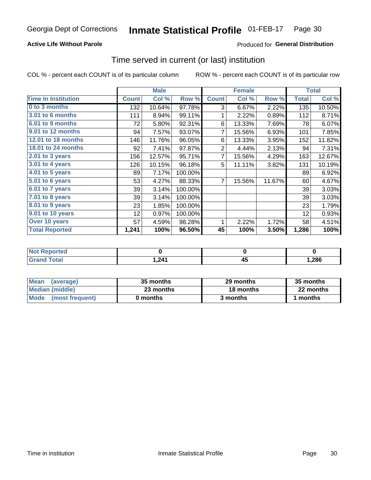# **Active Life Without Parole**

# Produced for General Distribution

# Time served in current (or last) institution

COL % - percent each COUNT is of its particular column

|                              |              | <b>Male</b> |         |                | <b>Female</b> |        | <b>Total</b> |        |
|------------------------------|--------------|-------------|---------|----------------|---------------|--------|--------------|--------|
| <b>Time In Institution</b>   | <b>Count</b> | Col %       | Row %   | <b>Count</b>   | Col %         | Row %  | <b>Total</b> | Col %  |
| 0 to 3 months                | 132          | 10.64%      | 97.78%  | 3              | 6.67%         | 2.22%  | 135          | 10.50% |
| <b>3.01 to 6 months</b>      | 111          | 8.94%       | 99.11%  | 1              | 2.22%         | 0.89%  | 112          | 8.71%  |
| 6.01 to 9 months             | 72           | 5.80%       | 92.31%  | 6              | 13.33%        | 7.69%  | 78           | 6.07%  |
| 9.01 to 12 months            | 94           | 7.57%       | 93.07%  | 7              | 15.56%        | 6.93%  | 101          | 7.85%  |
| <b>12.01 to 18 months</b>    | 146          | 11.76%      | 96.05%  | 6              | 13.33%        | 3.95%  | 152          | 11.82% |
| <b>18.01 to 24 months</b>    | 92           | 7.41%       | 97.87%  | $\overline{2}$ | 4.44%         | 2.13%  | 94           | 7.31%  |
| $2.01$ to 3 years            | 156          | 12.57%      | 95.71%  | 7              | 15.56%        | 4.29%  | 163          | 12.67% |
| 3.01 to 4 years              | 126          | 10.15%      | 96.18%  | 5              | 11.11%        | 3.82%  | 131          | 10.19% |
| $4.01$ to 5 years            | 89           | 7.17%       | 100.00% |                |               |        | 89           | 6.92%  |
| $\overline{5.01}$ to 6 years | 53           | 4.27%       | 88.33%  | 7              | 15.56%        | 11.67% | 60           | 4.67%  |
| 6.01 to 7 years              | 39           | 3.14%       | 100.00% |                |               |        | 39           | 3.03%  |
| $7.01$ to 8 years            | 39           | 3.14%       | 100.00% |                |               |        | 39           | 3.03%  |
| 8.01 to 9 years              | 23           | 1.85%       | 100.00% |                |               |        | 23           | 1.79%  |
| 9.01 to 10 years             | 12           | 0.97%       | 100.00% |                |               |        | 12           | 0.93%  |
| Over 10 years                | 57           | 4.59%       | 98.28%  | 1              | 2.22%         | 1.72%  | 58           | 4.51%  |
| <b>Total Reported</b>        | 1,241        | 100%        | 96.50%  | 45             | 100%          | 3.50%  | 1,286        | 100%   |

| <b>Not Reported</b> |       |         |       |
|---------------------|-------|---------|-------|
| <b>Total</b>        | 1,241 | --<br>™ | 1,286 |

| <b>Mean</b><br>(average) | 35 months | 29 months | 35 months |
|--------------------------|-----------|-----------|-----------|
| Median (middle)          | 23 months | 18 months | 22 months |
| Mode (most frequent)     | 0 months  | 3 months  | 1 months  |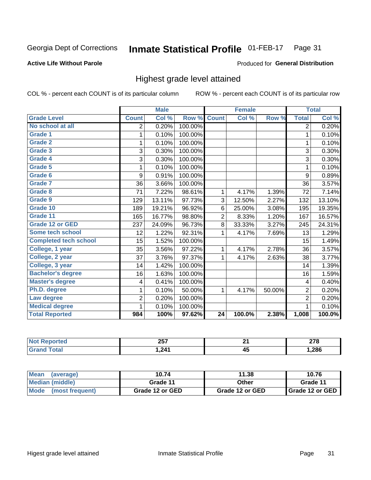#### **Inmate Statistical Profile 01-FEB-17** Page 31

### **Active Life Without Parole**

### Produced for General Distribution

# Highest grade level attained

COL % - percent each COUNT is of its particular column

|                              |                          | <b>Male</b> |         |                 | <b>Female</b> |        |                | <b>Total</b> |
|------------------------------|--------------------------|-------------|---------|-----------------|---------------|--------|----------------|--------------|
| <b>Grade Level</b>           | <b>Count</b>             | Col %       | Row %   | <b>Count</b>    | Col %         | Row %  | <b>Total</b>   | Col %        |
| No school at all             | $\overline{2}$           | 0.20%       | 100.00% |                 |               |        | 2              | 0.20%        |
| <b>Grade 1</b>               | 1                        | 0.10%       | 100.00% |                 |               |        | 1              | 0.10%        |
| <b>Grade 2</b>               | 1                        | 0.10%       | 100.00% |                 |               |        | $\mathbf{1}$   | 0.10%        |
| Grade 3                      | 3                        | 0.30%       | 100.00% |                 |               |        | 3              | 0.30%        |
| Grade 4                      | 3                        | 0.30%       | 100.00% |                 |               |        | 3              | 0.30%        |
| Grade 5                      | 1                        | 0.10%       | 100.00% |                 |               |        | 1              | 0.10%        |
| Grade 6                      | 9                        | 0.91%       | 100.00% |                 |               |        | 9              | 0.89%        |
| <b>Grade 7</b>               | 36                       | 3.66%       | 100.00% |                 |               |        | 36             | 3.57%        |
| Grade 8                      | 71                       | 7.22%       | 98.61%  | 1               | 4.17%         | 1.39%  | 72             | 7.14%        |
| Grade 9                      | 129                      | 13.11%      | 97.73%  | 3               | 12.50%        | 2.27%  | 132            | 13.10%       |
| Grade 10                     | 189                      | 19.21%      | 96.92%  | 6               | 25.00%        | 3.08%  | 195            | 19.35%       |
| Grade 11                     | 165                      | 16.77%      | 98.80%  | $\overline{2}$  | 8.33%         | 1.20%  | 167            | 16.57%       |
| <b>Grade 12 or GED</b>       | 237                      | 24.09%      | 96.73%  | 8               | 33.33%        | 3.27%  | 245            | 24.31%       |
| <b>Some tech school</b>      | 12                       | 1.22%       | 92.31%  | 1               | 4.17%         | 7.69%  | 13             | 1.29%        |
| <b>Completed tech school</b> | 15                       | 1.52%       | 100.00% |                 |               |        | 15             | 1.49%        |
| College, 1 year              | 35                       | 3.56%       | 97.22%  | 1               | 4.17%         | 2.78%  | 36             | 3.57%        |
| College, 2 year              | 37                       | 3.76%       | 97.37%  | 1               | 4.17%         | 2.63%  | 38             | 3.77%        |
| College, 3 year              | 14                       | 1.42%       | 100.00% |                 |               |        | 14             | 1.39%        |
| <b>Bachelor's degree</b>     | 16                       | 1.63%       | 100.00% |                 |               |        | 16             | 1.59%        |
| <b>Master's degree</b>       | $\overline{\mathcal{A}}$ | 0.41%       | 100.00% |                 |               |        | 4              | 0.40%        |
| Ph.D. degree                 | 1                        | 0.10%       | 50.00%  | 1               | 4.17%         | 50.00% | $\overline{c}$ | 0.20%        |
| Law degree                   | 2                        | 0.20%       | 100.00% |                 |               |        | $\overline{2}$ | 0.20%        |
| <b>Medical degree</b>        | 1                        | 0.10%       | 100.00% |                 |               |        | 1              | 0.10%        |
| <b>Total Reported</b>        | 984                      | 100%        | 97.62%  | $\overline{24}$ | 100.0%        | 2.38%  | 1,008          | 100.0%       |

| ported              | ヘヒフ            | м.             | $- - -$ |
|---------------------|----------------|----------------|---------|
| <b>NOT</b>          | 23 I           |                | 21 O    |
| <b>otal</b><br>Grar | 211<br>. L T I | - -<br>л.<br>᠇ | .286    |

| <b>Mean</b><br>(average) | 10.74           | 11.38           | 10.76             |
|--------------------------|-----------------|-----------------|-------------------|
| Median (middle)          | Grade 11        | Other           | Grade 11          |
| Mode (most frequent)     | Grade 12 or GED | Grade 12 or GED | I Grade 12 or GED |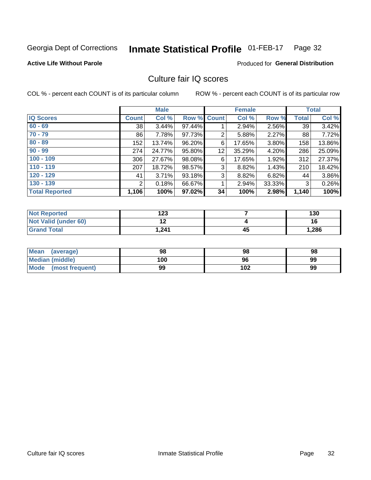#### **Inmate Statistical Profile 01-FEB-17** Page 32

### **Active Life Without Parole**

## **Produced for General Distribution**

# Culture fair IQ scores

COL % - percent each COUNT is of its particular column

|                       |              | <b>Male</b> |                    |    | <b>Female</b> |        |              | <b>Total</b> |
|-----------------------|--------------|-------------|--------------------|----|---------------|--------|--------------|--------------|
| <b>IQ Scores</b>      | <b>Count</b> | Col %       | <b>Row % Count</b> |    | Col %         | Row %  | <b>Total</b> | Col %        |
| $60 - 69$             | 38           | 3.44%       | 97.44%             |    | 2.94%         | 2.56%  | 39           | 3.42%        |
| $70 - 79$             | 86           | 7.78%       | 97.73%             | 2  | 5.88%         | 2.27%  | 88           | 7.72%        |
| $80 - 89$             | 152          | 13.74%      | 96.20%             | 6  | 17.65%        | 3.80%  | 158          | 13.86%       |
| $90 - 99$             | 274          | 24.77%      | 95.80%             | 12 | 35.29%        | 4.20%  | 286          | 25.09%       |
| $100 - 109$           | 306          | 27.67%      | 98.08%             | 6  | 17.65%        | 1.92%  | 312          | 27.37%       |
| $110 - 119$           | 207          | 18.72%      | 98.57%             | 3  | 8.82%         | 1.43%  | 210          | 18.42%       |
| $120 - 129$           | 41           | 3.71%       | 93.18%             | 3  | 8.82%         | 6.82%  | 44           | 3.86%        |
| $130 - 139$           | 2            | 0.18%       | 66.67%             | 1  | 2.94%         | 33.33% | 3            | 0.26%        |
| <b>Total Reported</b> | 1,106        | 100%        | 97.02%             | 34 | 100%          | 2.98%  | 1,140        | 100%         |

| <b>Not Reported</b>  | 123       |    | 130   |
|----------------------|-----------|----|-------|
| Not Valid (under 60) | 40<br>. . |    | 16    |
| <b>Grand Total</b>   | 1,241     | 45 | 1,286 |

| <b>Mean</b><br>(average) | 98  | 98  | 98 |
|--------------------------|-----|-----|----|
| Median (middle)          | 100 | 96  | 99 |
| Mode (most frequent)     | 99  | 102 | 99 |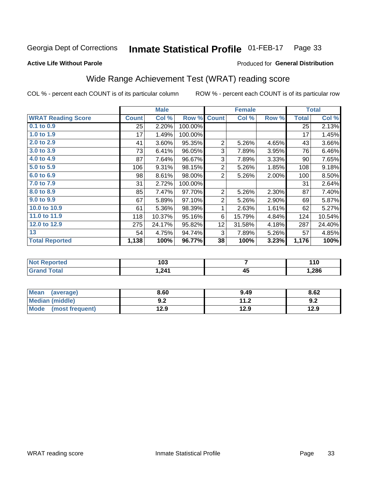#### **Inmate Statistical Profile 01-FEB-17** Page 33

### **Active Life Without Parole**

### Produced for General Distribution

# Wide Range Achievement Test (WRAT) reading score

COL % - percent each COUNT is of its particular column

| Col %<br><b>Count</b><br>2.20%<br>25<br>1.49%<br>17<br>3.60%<br>41<br>73<br>6.41% | Row %<br>100.00%<br>100.00%<br>95.35%<br>96.05%                | <b>Count</b><br>$\overline{2}$                                                                               | Col %<br>5.26% | Row %<br>4.65% | <b>Total</b><br>25<br>17 | Col %<br>2.13%<br>1.45% |
|-----------------------------------------------------------------------------------|----------------------------------------------------------------|--------------------------------------------------------------------------------------------------------------|----------------|----------------|--------------------------|-------------------------|
|                                                                                   |                                                                |                                                                                                              |                |                |                          |                         |
|                                                                                   |                                                                |                                                                                                              |                |                |                          |                         |
|                                                                                   |                                                                |                                                                                                              |                |                |                          |                         |
|                                                                                   |                                                                |                                                                                                              |                |                | 43                       | 3.66%                   |
|                                                                                   |                                                                | 3                                                                                                            | 7.89%          | 3.95%          | 76                       | 6.46%                   |
| 87<br>7.64%                                                                       | 96.67%                                                         | 3                                                                                                            | 7.89%          | 3.33%          | 90                       | 7.65%                   |
|                                                                                   | 98.15%                                                         | $\overline{2}$                                                                                               | 5.26%          | 1.85%          | 108                      | 9.18%                   |
|                                                                                   | 98.00%                                                         | $\overline{2}$                                                                                               | 5.26%          | 2.00%          | 100                      | 8.50%                   |
|                                                                                   |                                                                |                                                                                                              |                |                | 31                       | 2.64%                   |
|                                                                                   | 97.70%                                                         | $\overline{2}$                                                                                               | 5.26%          | 2.30%          | 87                       | 7.40%                   |
|                                                                                   | 97.10%                                                         | $\overline{2}$                                                                                               | 5.26%          | 2.90%          | 69                       | 5.87%                   |
|                                                                                   | 98.39%                                                         | 1                                                                                                            | 2.63%          | 1.61%          | 62                       | 5.27%                   |
|                                                                                   |                                                                | 6                                                                                                            | 15.79%         | 4.84%          | 124                      | 10.54%                  |
|                                                                                   | 95.82%                                                         | 12                                                                                                           | 31.58%         | 4.18%          | 287                      | 24.40%                  |
|                                                                                   | 94.74%                                                         | 3                                                                                                            | 7.89%          | 5.26%          | 57                       | 4.85%                   |
|                                                                                   | 96.77%                                                         | 38                                                                                                           | 100%           | 3.23%          | 1,176                    | 100%                    |
|                                                                                   | 106<br>98<br>31<br>85<br>67<br>61<br>118<br>275<br>54<br>1,138 | 9.31%<br>8.61%<br>2.72%<br>100.00%<br>7.47%<br>5.89%<br>5.36%<br>10.37%<br>95.16%<br>24.17%<br>4.75%<br>100% |                |                |                          |                         |

| <b>Not Reported</b>          | 103    |                                 | 110   |
|------------------------------|--------|---------------------------------|-------|
| <b>Total</b><br><b>Grand</b> | 241. ا | $\mathbf{A}^{\mathbf{F}}$<br>≖∾ | 1,286 |

| Mean (average)       | 8.60       | 9.49 | 8.62 |
|----------------------|------------|------|------|
| Median (middle)      | י ה<br>Y.Z | 11.2 | 9.2  |
| Mode (most frequent) | 12.9       | 12.9 | 12.9 |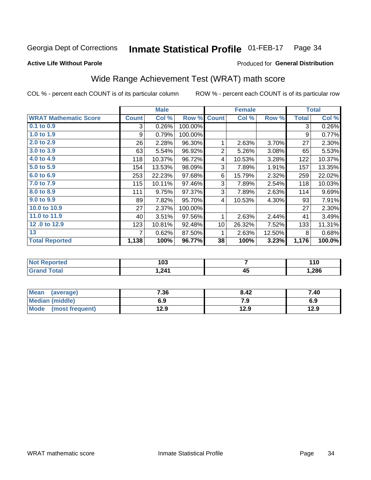#### Inmate Statistical Profile 01-FEB-17 Page 34

## **Active Life Without Parole**

# Produced for General Distribution

# Wide Range Achievement Test (WRAT) math score

COL % - percent each COUNT is of its particular column

|                              |              | <b>Male</b> |         |                 | <b>Female</b> |        |              | <b>Total</b> |
|------------------------------|--------------|-------------|---------|-----------------|---------------|--------|--------------|--------------|
| <b>WRAT Mathematic Score</b> | <b>Count</b> | Col %       | Row %   | <b>Count</b>    | Col %         | Row %  | <b>Total</b> | Col %        |
| $0.1$ to $0.9$               | 3            | 0.26%       | 100.00% |                 |               |        | 3            | 0.26%        |
| 1.0 to 1.9                   | 9            | 0.79%       | 100.00% |                 |               |        | 9            | 0.77%        |
| 2.0 to 2.9                   | 26           | 2.28%       | 96.30%  | 1               | 2.63%         | 3.70%  | 27           | 2.30%        |
| 3.0 to 3.9                   | 63           | 5.54%       | 96.92%  | $\overline{2}$  | 5.26%         | 3.08%  | 65           | 5.53%        |
| 4.0 to 4.9                   | 118          | 10.37%      | 96.72%  | 4               | 10.53%        | 3.28%  | 122          | 10.37%       |
| 5.0 to 5.9                   | 154          | 13.53%      | 98.09%  | 3               | 7.89%         | 1.91%  | 157          | 13.35%       |
| 6.0 to 6.9                   | 253          | 22.23%      | 97.68%  | 6               | 15.79%        | 2.32%  | 259          | 22.02%       |
| 7.0 to 7.9                   | 115          | 10.11%      | 97.46%  | 3               | 7.89%         | 2.54%  | 118          | 10.03%       |
| 8.0 to 8.9                   | 111          | 9.75%       | 97.37%  | 3               | 7.89%         | 2.63%  | 114          | 9.69%        |
| 9.0 to 9.9                   | 89           | 7.82%       | 95.70%  | 4               | 10.53%        | 4.30%  | 93           | 7.91%        |
| 10.0 to 10.9                 | 27           | 2.37%       | 100.00% |                 |               |        | 27           | 2.30%        |
| 11.0 to 11.9                 | 40           | 3.51%       | 97.56%  | 1               | 2.63%         | 2.44%  | 41           | 3.49%        |
| 12.0 to 12.9                 | 123          | 10.81%      | 92.48%  | 10 <sup>1</sup> | 26.32%        | 7.52%  | 133          | 11.31%       |
| 13                           |              | 0.62%       | 87.50%  | 1               | 2.63%         | 12.50% | 8            | 0.68%        |
| <b>Total Reported</b>        | 1,138        | 100%        | 96.77%  | 38              | 100%          | 3.23%  | 1,176        | 100.0%       |
|                              |              |             |         |                 |               |        |              |              |

| <b>Not Reported</b>    | 103   |    | 110   |
|------------------------|-------|----|-------|
| <b>Total</b><br>'Grand | 1,241 | 45 | 1,286 |

| <b>Mean</b><br>(average)       | 7.36 | 8.42 | 7.40 |
|--------------------------------|------|------|------|
| Median (middle)                | 6.9  | 7.9  | 6.9  |
| <b>Mode</b><br>(most frequent) | 12.9 | 12.9 | 12.9 |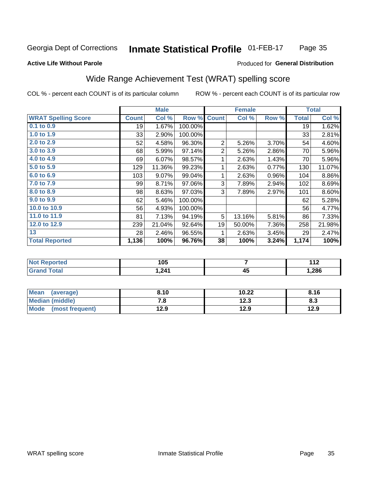#### Inmate Statistical Profile 01-FEB-17 Page 35

### **Active Life Without Parole**

### Produced for General Distribution

# Wide Range Achievement Test (WRAT) spelling score

COL % - percent each COUNT is of its particular column

ROW % - percent each COUNT is of its particular row

 $\overline{45}$ 

|                            |              | <b>Male</b> |         |                | <b>Female</b> |       |                 | <b>Total</b> |
|----------------------------|--------------|-------------|---------|----------------|---------------|-------|-----------------|--------------|
| <b>WRAT Spelling Score</b> | <b>Count</b> | Col %       | Row %   | <b>Count</b>   | Col %         | Row % | <b>Total</b>    | Col %        |
| $0.1$ to $0.9$             | 19           | 1.67%       | 100.00% |                |               |       | 19              | 1.62%        |
| 1.0 to 1.9                 | 33           | 2.90%       | 100.00% |                |               |       | 33 <sup>1</sup> | 2.81%        |
| 2.0 to 2.9                 | 52           | 4.58%       | 96.30%  | $\overline{2}$ | 5.26%         | 3.70% | 54              | 4.60%        |
| 3.0 to 3.9                 | 68           | 5.99%       | 97.14%  | $\overline{2}$ | 5.26%         | 2.86% | 70              | 5.96%        |
| 4.0 to 4.9                 | 69           | 6.07%       | 98.57%  | 1              | 2.63%         | 1.43% | 70              | 5.96%        |
| 5.0 to 5.9                 | 129          | 11.36%      | 99.23%  | 1              | 2.63%         | 0.77% | 130             | 11.07%       |
| 6.0 to 6.9                 | 103          | 9.07%       | 99.04%  | 1              | 2.63%         | 0.96% | 104             | 8.86%        |
| 7.0 to 7.9                 | 99           | 8.71%       | 97.06%  | 3              | 7.89%         | 2.94% | 102             | 8.69%        |
| 8.0 to 8.9                 | 98           | 8.63%       | 97.03%  | 3              | 7.89%         | 2.97% | 101             | 8.60%        |
| 9.0 to 9.9                 | 62           | 5.46%       | 100.00% |                |               |       | 62              | 5.28%        |
| 10.0 to 10.9               | 56           | 4.93%       | 100.00% |                |               |       | 56              | 4.77%        |
| 11.0 to 11.9               | 81           | 7.13%       | 94.19%  | 5              | 13.16%        | 5.81% | 86              | 7.33%        |
| 12.0 to 12.9               | 239          | 21.04%      | 92.64%  | 19             | 50.00%        | 7.36% | 258             | 21.98%       |
| 13                         | 28           | 2.46%       | 96.55%  | 1              | 2.63%         | 3.45% | 29              | 2.47%        |
| <b>Total Reported</b>      | 1,136        | 100%        | 96.76%  | 38             | 100%          | 3.24% | 1,174           | 100%         |
|                            |              |             |         |                |               |       |                 |              |
| <b>Not Reported</b>        |              | 105         |         |                | 7             |       |                 | 112          |

| Mean<br>(average)              | 8.10 | 10.22       | 8.16 |
|--------------------------------|------|-------------|------|
| <b>Median (middle)</b>         | . о  | 1つ ?<br>د ع | ი.ა  |
| <b>Mode</b><br>(most frequent) | 12.9 | 12.9        | 12.9 |

 $1,241$ 

**Grand Total** 

1,286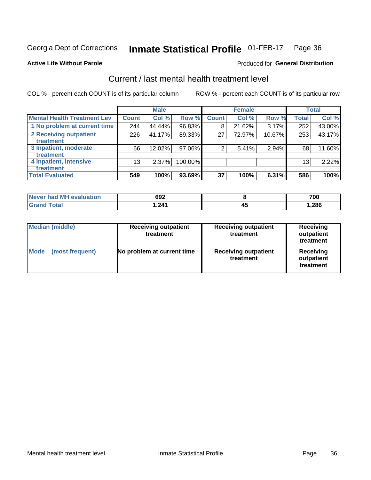#### Inmate Statistical Profile 01-FEB-17 Page 36

### **Active Life Without Parole**

# **Produced for General Distribution**

# Current / last mental health treatment level

COL % - percent each COUNT is of its particular column

|                                    |                 | <b>Male</b> |         |              | <b>Female</b> |        |                 | <b>Total</b> |
|------------------------------------|-----------------|-------------|---------|--------------|---------------|--------|-----------------|--------------|
| <b>Mental Health Treatment Lev</b> | <b>Count</b>    | Col %       | Row %   | <b>Count</b> | Col %         | Row %  | <b>Total</b>    | Col %        |
| 1 No problem at current time       | 244             | 44.44%      | 96.83%  | 8            | 21.62%        | 3.17%  | 252             | 43.00%       |
| 2 Receiving outpatient             | 226             | 41.17%      | 89.33%  | 27           | 72.97%        | 10.67% | 253             | 43.17%       |
| <b>Treatment</b>                   |                 |             |         |              |               |        |                 |              |
| 3 Inpatient, moderate              | 66              | 12.02%      | 97.06%  | 2            | 5.41%         | 2.94%  | 68              | 11.60%       |
| <b>Treatment</b>                   |                 |             |         |              |               |        |                 |              |
| 4 Inpatient, intensive             | 13 <sub>1</sub> | 2.37%       | 100.00% |              |               |        | 13 <sub>1</sub> | 2.22%        |
| Treatment                          |                 |             |         |              |               |        |                 |              |
| <b>Total Evaluated</b>             | 549             | 100%        | 93.69%  | 37           | 100%          | 6.31%  | 586             | 100%         |

| Never had MH evaluation | 692   |    | 700  |
|-------------------------|-------|----|------|
| Total                   | 241.ا | ᠇֊ | .286 |

| <b>Median (middle)</b>         | <b>Receiving outpatient</b><br>treatment | <b>Receiving outpatient</b><br>treatment | <b>Receiving</b><br>outpatient<br>treatment |  |
|--------------------------------|------------------------------------------|------------------------------------------|---------------------------------------------|--|
| <b>Mode</b><br>(most frequent) | No problem at current time               | <b>Receiving outpatient</b><br>treatment | <b>Receiving</b><br>outpatient<br>treatment |  |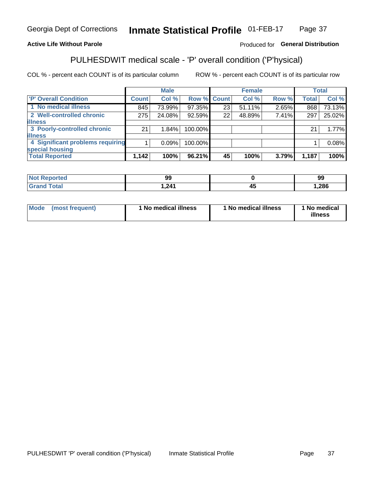#### Inmate Statistical Profile 01-FEB-17 Page 37

# **Active Life Without Parole**

## Produced for General Distribution

# PULHESDWIT medical scale - 'P' overall condition ('P'hysical)

COL % - percent each COUNT is of its particular column

|                                  |              | <b>Male</b> |             |    | <b>Female</b> |       |              | <b>Total</b> |
|----------------------------------|--------------|-------------|-------------|----|---------------|-------|--------------|--------------|
| 'P' Overall Condition            | <b>Count</b> | Col %       | Row % Count |    | Col %         | Row % | <b>Total</b> | Col %        |
| 1 No medical illness             | 845          | 73.99%      | 97.35%      | 23 | 51.11%        | 2.65% | 868          | 73.13%       |
| 2 Well-controlled chronic        | 275          | 24.08%      | 92.59%      | 22 | 48.89%        | 7.41% | 297          | 25.02%       |
| <b>illness</b>                   |              |             |             |    |               |       |              |              |
| 3 Poorly-controlled chronic      | 21           | 1.84%       | 100.00%     |    |               |       | 21           | 1.77%        |
| <b>illness</b>                   |              |             |             |    |               |       |              |              |
| 4 Significant problems requiring |              | 0.09%       | 100.00%     |    |               |       |              | 0.08%        |
| special housing                  |              |             |             |    |               |       |              |              |
| <b>Total Reported</b>            | 1,142        | 100%        | 96.21%      | 45 | 100%          | 3.79% | 1,187        | 100%         |

| ۵O<br>--                 |      | 99   |
|--------------------------|------|------|
| $\sim$ 0.4 $\sim$<br>--- | - 73 | ,286 |

| <b>Mode</b> | (most frequent) | 1 No medical illness | 1 No medical illness | 1 No medical<br>illness |
|-------------|-----------------|----------------------|----------------------|-------------------------|
|-------------|-----------------|----------------------|----------------------|-------------------------|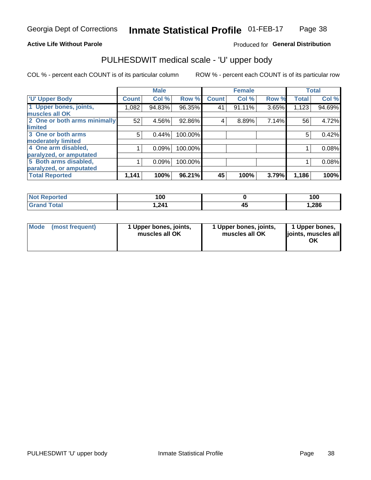### **Active Life Without Parole**

# Produced for General Distribution

# PULHESDWIT medical scale - 'U' upper body

COL % - percent each COUNT is of its particular column

|                              |              | <b>Male</b> |         |              | <b>Female</b> |       |              | <b>Total</b> |
|------------------------------|--------------|-------------|---------|--------------|---------------|-------|--------------|--------------|
| <b>U' Upper Body</b>         | <b>Count</b> | Col %       | Row %   | <b>Count</b> | Col %         | Row % | <b>Total</b> | Col %        |
| 1 Upper bones, joints,       | 1,082        | 94.83%      | 96.35%  | 41           | $91.11\%$     | 3.65% | 1,123        | 94.69%       |
| muscles all OK               |              |             |         |              |               |       |              |              |
| 2 One or both arms minimally | 52           | 4.56%       | 92.86%  | 4            | 8.89%         | 7.14% | 56           | 4.72%        |
| limited                      |              |             |         |              |               |       |              |              |
| 3 One or both arms           | 5            | 0.44%       | 100.00% |              |               |       | 5            | 0.42%        |
| <b>moderately limited</b>    |              |             |         |              |               |       |              |              |
| 4 One arm disabled,          |              | 0.09%       | 100.00% |              |               |       |              | 0.08%        |
| paralyzed, or amputated      |              |             |         |              |               |       |              |              |
| 5 Both arms disabled,        |              | 0.09%       | 100.00% |              |               |       |              | 0.08%        |
| paralyzed, or amputated      |              |             |         |              |               |       |              |              |
| <b>Total Reported</b>        | 1,141        | 100%        | 96.21%  | 45           | 100%          | 3.79% | 1,186        | 100%         |

| <b>Not Reported</b> | 100   | 100   |
|---------------------|-------|-------|
| <b>Grand Total</b>  | 1,241 | 1,286 |

| Mode<br>(most frequent) | 1 Upper bones, joints,<br>muscles all OK | 1 Upper bones, joints,<br>muscles all OK | 1 Upper bones,<br>joints, muscles all<br>ΟK |
|-------------------------|------------------------------------------|------------------------------------------|---------------------------------------------|
|-------------------------|------------------------------------------|------------------------------------------|---------------------------------------------|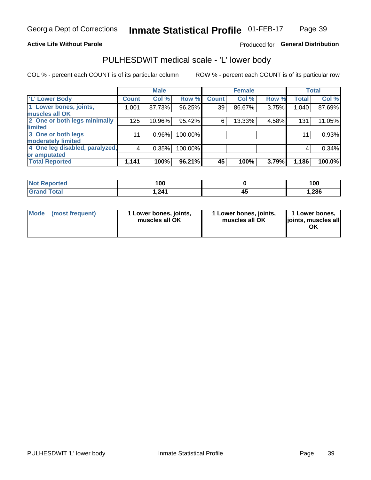### **Active Life Without Parole**

# Produced for General Distribution

# PULHESDWIT medical scale - 'L' lower body

COL % - percent each COUNT is of its particular column

|                                |                | <b>Male</b> |         |              | <b>Female</b> |       |              | <b>Total</b> |
|--------------------------------|----------------|-------------|---------|--------------|---------------|-------|--------------|--------------|
| 'L' Lower Body                 | <b>Count</b>   | Col %       | Row %   | <b>Count</b> | Col %         | Row % | <b>Total</b> | Col %        |
| 1 Lower bones, joints,         | 1,001          | 87.73%      | 96.25%  | 39           | 86.67%        | 3.75% | 1,040        | 87.69%       |
| muscles all OK                 |                |             |         |              |               |       |              |              |
| 2 One or both legs minimally   | 125            | 10.96%      | 95.42%  | 6            | 13.33%        | 4.58% | 131          | 11.05%       |
| limited                        |                |             |         |              |               |       |              |              |
| 3 One or both legs             | 11             | $0.96\%$    | 100.00% |              |               |       | 11           | 0.93%        |
| moderately limited             |                |             |         |              |               |       |              |              |
| 4 One leg disabled, paralyzed, | $\overline{4}$ | 0.35%       | 100.00% |              |               |       | 4            | 0.34%        |
| or amputated                   |                |             |         |              |               |       |              |              |
| <b>Total Reported</b>          | 1,141          | 100%        | 96.21%  | 45           | 100%          | 3.79% | 1,186        | 100.0%       |

| <b>Not Reported</b> | 100   |   | 100   |
|---------------------|-------|---|-------|
| <b>Grand Total</b>  | 1,241 | ᠇ | 1,286 |

| Mode | (most frequent) | 1 Lower bones, joints,<br>muscles all OK | 1 Lower bones, joints,<br>muscles all OK | 1 Lower bones,<br>ljoints, muscles all<br>ΟK |
|------|-----------------|------------------------------------------|------------------------------------------|----------------------------------------------|
|------|-----------------|------------------------------------------|------------------------------------------|----------------------------------------------|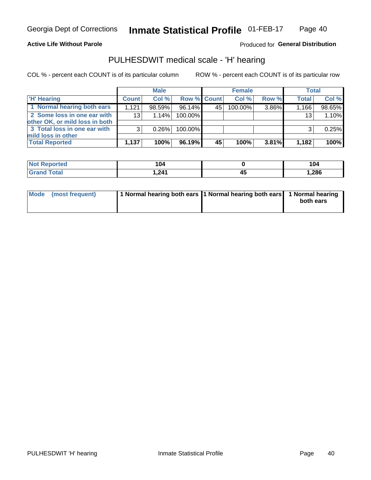### **Active Life Without Parole**

Produced for General Distribution

# PULHESDWIT medical scale - 'H' hearing

COL % - percent each COUNT is of its particular column

|                                                               |              | <b>Male</b> |             |     | <b>Female</b> |          | <b>Total</b> |        |
|---------------------------------------------------------------|--------------|-------------|-------------|-----|---------------|----------|--------------|--------|
| <b>H'</b> Hearing                                             | <b>Count</b> | Col %       | Row % Count |     | Col%          | Row %    | <b>Total</b> | Col %  |
| 1 Normal hearing both ears                                    | 1.121        | 98.59%      | 96.14%      | 45' | 100.00%       | 3.86%    | 1,166        | 98.65% |
| 2 Some loss in one ear with<br>other OK, or mild loss in both | 13           | 1.14%       | 100.00%     |     |               |          | 13           | 1.10%  |
| 3 Total loss in one ear with<br>mild loss in other            | 3            | 0.26%       | 100.00%     |     |               |          |              | 0.25%  |
| <b>Total Reported</b>                                         | 1,137        | 100%        | 96.19%      | 45  | 100%          | $3.81\%$ | 1,182        | 100%   |

| Reported<br><b>Not</b> | 104      | 104<br>___ |
|------------------------|----------|------------|
| <b>Total</b>           | 211<br>. | ,286       |

| Mode (most frequent) | 1 Normal hearing both ears 1 Normal hearing both ears 1 Normal hearing | both ears |
|----------------------|------------------------------------------------------------------------|-----------|
|                      |                                                                        |           |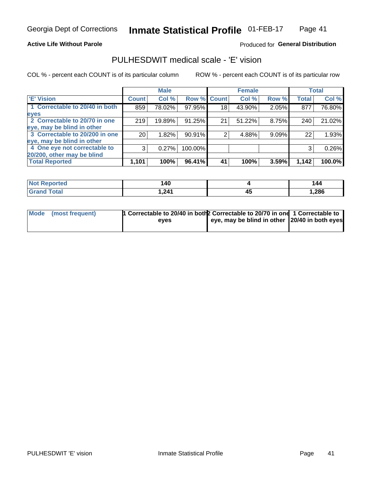### **Active Life Without Parole**

### Produced for General Distribution

# PULHESDWIT medical scale - 'E' vision

COL % - percent each COUNT is of its particular column

|                                |                 | <b>Male</b> |         |              | <b>Female</b> |       |              | <b>Total</b> |
|--------------------------------|-----------------|-------------|---------|--------------|---------------|-------|--------------|--------------|
| <b>E' Vision</b>               | <b>Count</b>    | Col %       | Row %   | <b>Count</b> | Col %         | Row % | <b>Total</b> | Col %        |
| 1 Correctable to 20/40 in both | 859             | 78.02%      | 97.95%  | 18           | 43.90%        | 2.05% | 877          | 76.80%       |
| eyes                           |                 |             |         |              |               |       |              |              |
| 2 Correctable to 20/70 in one  | 219             | 19.89%      | 91.25%  | 21           | 51.22%        | 8.75% | 240          | 21.02%       |
| eye, may be blind in other     |                 |             |         |              |               |       |              |              |
| 3 Correctable to 20/200 in one | 20 <sub>1</sub> | 1.82%       | 90.91%  |              | 4.88%         | 9.09% | 22           | 1.93%        |
| eye, may be blind in other     |                 |             |         |              |               |       |              |              |
| 4 One eye not correctable to   | 3               | 0.27%       | 100.00% |              |               |       | 3            | 0.26%        |
| 20/200, other may be blind     |                 |             |         |              |               |       |              |              |
| <b>Total Reported</b>          | 1,101           | 100%        | 96.41%  | 41           | 100%          | 3.59% | 1,142        | 100.0%       |

| <b>Not Reported</b> | <b>40</b> |    | 144  |
|---------------------|-----------|----|------|
| Total               | 1,241     | 45 | ,286 |

| Mode (most frequent) | 1 Correctable to 20/40 in both 2 Correctable to 20/70 in one 1 Correctable to<br>eves | eye, may be blind in other 20/40 in both eyes |  |
|----------------------|---------------------------------------------------------------------------------------|-----------------------------------------------|--|
|                      |                                                                                       |                                               |  |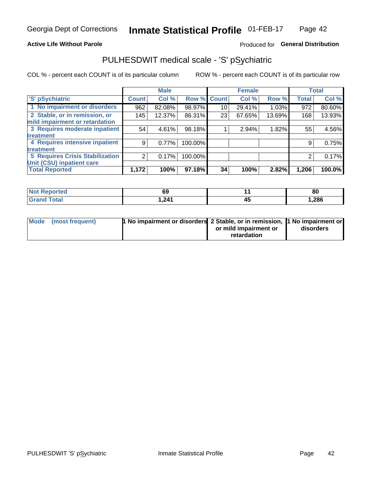### **Active Life Without Parole**

# Produced for General Distribution

# PULHESDWIT medical scale - 'S' pSychiatric

COL % - percent each COUNT is of its particular column

|                                        |              | <b>Male</b> |         |             | <b>Female</b> |        |              | <b>Total</b> |
|----------------------------------------|--------------|-------------|---------|-------------|---------------|--------|--------------|--------------|
| 'S' pSychiatric                        | <b>Count</b> | Col %       |         | Row % Count | Col %         | Row %  | <b>Total</b> | Col %        |
| 1 No impairment or disorders           | 962          | 82.08%      | 98.97%  | 10          | 29.41%        | 1.03%  | 972          | 80.60%       |
| 2 Stable, or in remission, or          | 145          | 12.37%      | 86.31%  | 23          | 67.65%        | 13.69% | 168          | 13.93%       |
| mild impairment or retardation         |              |             |         |             |               |        |              |              |
| 3 Requires moderate inpatient          | 54           | 4.61%       | 98.18%  |             | 2.94%         | 1.82%  | 55           | 4.56%        |
| <b>treatment</b>                       |              |             |         |             |               |        |              |              |
| 4 Requires intensive inpatient         | 9            | 0.77%       | 100.00% |             |               |        | 9            | 0.75%        |
| treatment                              |              |             |         |             |               |        |              |              |
| <b>5 Requires Crisis Stabilization</b> | ⌒            | 0.17%       | 100.00% |             |               |        | 2            | 0.17%        |
| Unit (CSU) inpatient care              |              |             |         |             |               |        |              |              |
| <b>Total Reported</b>                  | 1,172        | 100%        | 97.18%  | 34          | 100%          | 2.82%  | 1,206        | 100.0%       |

| <b>Not Reported</b>          | c.<br>ರು | 80     |
|------------------------------|----------|--------|
| <b>Total</b><br><b>Grand</b> | 241.ا    | 286. ا |

| Mode | (most frequent) | <b>1 No impairment or disorders</b> 2 Stable, or in remission, 1 No impairment or |                       |           |
|------|-----------------|-----------------------------------------------------------------------------------|-----------------------|-----------|
|      |                 |                                                                                   | or mild impairment or | disorders |
|      |                 |                                                                                   | retardation           |           |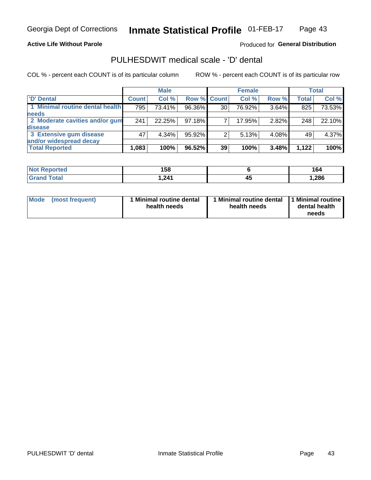**Active Life Without Parole** 

Produced for General Distribution

# PULHESDWIT medical scale - 'D' dental

COL % - percent each COUNT is of its particular column

|                                 |              | <b>Male</b> |             |    | <b>Female</b> |       |              | <b>Total</b> |
|---------------------------------|--------------|-------------|-------------|----|---------------|-------|--------------|--------------|
| 'D' Dental                      | <b>Count</b> | Col %       | Row % Count |    | Col %         | Row % | <b>Total</b> | Col %        |
| 1 Minimal routine dental health | 795          | 73.41%      | 96.36%      | 30 | 76.92%        | 3.64% | 825          | 73.53%       |
| <b>needs</b>                    |              |             |             |    |               |       |              |              |
| 2 Moderate cavities and/or gum  | 241          | 22.25%      | 97.18%      |    | 17.95%        | 2.82% | 248          | 22.10%       |
| disease                         |              |             |             |    |               |       |              |              |
| 3 Extensive gum disease         | 47           | $4.34\%$    | 95.92%      |    | 5.13%         | 4.08% | 49           | 4.37%        |
| and/or widespread decay         |              |             |             |    |               |       |              |              |
| <b>Total Reported</b>           | 1,083        | 100%        | 96.52%      | 39 | 100%          | 3.48% | 1,122        | 100%         |

| prted<br><b>NOT</b><br>. | 158    |    | ס י    |
|--------------------------|--------|----|--------|
| <b>Total</b>             | 241. ا | 43 | 286, ا |

| <b>Mode</b><br><b>Minimal routine dental</b><br>(most frequent)<br>health needs | Minimal routine dental<br>health needs | 1 Minimal routine<br>dental health<br>needs |
|---------------------------------------------------------------------------------|----------------------------------------|---------------------------------------------|
|---------------------------------------------------------------------------------|----------------------------------------|---------------------------------------------|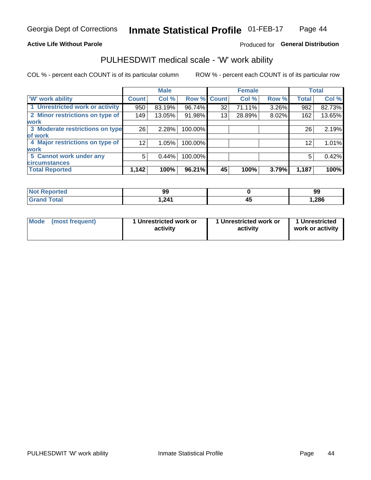### **Active Life Without Parole**

# Produced for General Distribution

# PULHESDWIT medical scale - 'W' work ability

COL % - percent each COUNT is of its particular column

|                                 |                 | <b>Male</b> |                    |    | <b>Female</b> |       |              | <b>Total</b> |
|---------------------------------|-----------------|-------------|--------------------|----|---------------|-------|--------------|--------------|
| <b>W' work ability</b>          | <b>Count</b>    | Col %       | <b>Row % Count</b> |    | Col %         | Row % | <b>Total</b> | Col %        |
| 1 Unrestricted work or activity | 950             | 83.19%      | 96.74%             | 32 | 71.11%        | 3.26% | 982          | 82.73%       |
| 2 Minor restrictions on type of | 149             | 13.05%      | 91.98%             | 13 | 28.89%        | 8.02% | 162          | 13.65%       |
| <b>work</b>                     |                 |             |                    |    |               |       |              |              |
| 3 Moderate restrictions on type | 26              | 2.28%       | 100.00%            |    |               |       | 26           | 2.19%        |
| lof work                        |                 |             |                    |    |               |       |              |              |
| 4 Major restrictions on type of | 12 <sub>1</sub> | 1.05%       | 100.00%            |    |               |       | 12           | 1.01%        |
| <b>work</b>                     |                 |             |                    |    |               |       |              |              |
| 5 Cannot work under any         | 5               | 0.44%       | 100.00%            |    |               |       | 5            | 0.42%        |
| <b>circumstances</b>            |                 |             |                    |    |               |       |              |              |
| <b>Total Reported</b>           | 1,142           | 100%        | 96.21%             | 45 | 100%          | 3.79% | 1,187        | 100%         |

| <b>Not Reported</b>          | 99    |   | 99    |
|------------------------------|-------|---|-------|
| <b>Total</b><br><b>Grand</b> | 1,241 | ┱ | 1,286 |

| Mode (most frequent) | 1 Unrestricted work or | 1 Unrestricted work or | 1 Unrestricted   |
|----------------------|------------------------|------------------------|------------------|
|                      | activity               | activity               | work or activity |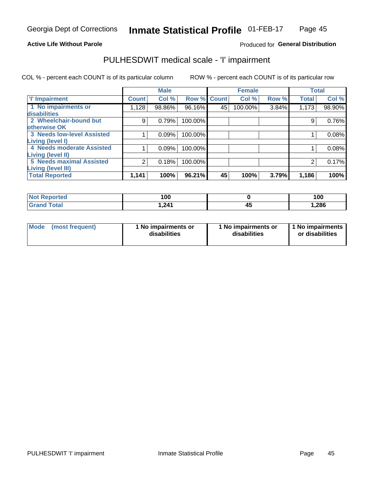### **Active Life Without Parole**

# Produced for General Distribution

# PULHESDWIT medical scale - 'I' impairment

|                                                              |              | <b>Male</b> |             |    | <b>Female</b> |       |              | <b>Total</b> |
|--------------------------------------------------------------|--------------|-------------|-------------|----|---------------|-------|--------------|--------------|
| <b>T' Impairment</b>                                         | <b>Count</b> | Col %       | Row % Count |    | Col %         | Row % | <b>Total</b> | Col %        |
| 1 No impairments or<br>disabilities                          | 1,128        | 98.86%      | 96.16%      | 45 | 100.00%       | 3.84% | 1,173        | 98.90%       |
| 2 Wheelchair-bound but<br>otherwise OK                       | 9            | 0.79%       | 100.00%     |    |               |       | 9            | 0.76%        |
| <b>3 Needs low-level Assisted</b><br>Living (level I)        |              | 0.09%       | 100.00%     |    |               |       |              | 0.08%        |
| 4 Needs moderate Assisted<br><b>Living (level II)</b>        |              | 0.09%       | 100.00%     |    |               |       |              | 0.08%        |
| <b>5 Needs maximal Assisted</b><br><b>Living (level III)</b> | 2            | 0.18%       | 100.00%     |    |               |       |              | 0.17%        |
| <b>Total Reported</b>                                        | 1,141        | 100%        | 96.21%      | 45 | 100%          | 3.79% | 1,186        | 100%         |

| Reported     | 100  |     | 100   |
|--------------|------|-----|-------|
| <b>Total</b> | .241 | . . | 1,286 |

| Mode | (most frequent) | 1 No impairments or<br>disabilities | 1 No impairments or<br>disabilities | 1 No impairments<br>or disabilities |
|------|-----------------|-------------------------------------|-------------------------------------|-------------------------------------|
|------|-----------------|-------------------------------------|-------------------------------------|-------------------------------------|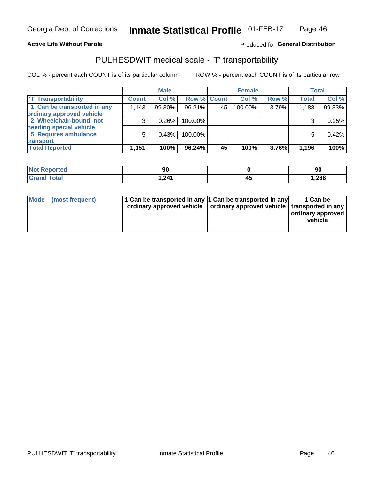### **Active Life Without Parole**

### Produced fo General Distribution

# PULHESDWIT medical scale - 'T' transportability

COL % - percent each COUNT is of its particular column

|                             |              | <b>Male</b> |             |    | <b>Female</b> |       |              | <b>Total</b> |
|-----------------------------|--------------|-------------|-------------|----|---------------|-------|--------------|--------------|
| <b>T' Transportability</b>  | <b>Count</b> | Col %       | Row % Count |    | Col %         | Row % | <b>Total</b> | Col %        |
| 1 Can be transported in any | 1,143        | 99.30%      | 96.21%      | 45 | 100.00%       | 3.79% | 1,188        | 99.33%       |
| ordinary approved vehicle   |              |             |             |    |               |       |              |              |
| 2 Wheelchair-bound, not     |              | 0.26%       | 100.00%     |    |               |       |              | 0.25%        |
| needing special vehicle     |              |             |             |    |               |       |              |              |
| 5 Requires ambulance        |              | 0.43%       | 100.00%     |    |               |       |              | 0.42%        |
| transport                   |              |             |             |    |               |       |              |              |
| <b>Total Reported</b>       | 1,151        | 100%        | 96.24%      | 45 | 100%          | 3.76% | 1,196        | 100%         |

| orted | 90   | 90    |
|-------|------|-------|
| otal  | 241. | 1,286 |

| <b>Mode</b> | (most frequent) | 1 Can be transported in any 1 Can be transported in any | ordinary approved vehicle   ordinary approved vehicle   transported in any | 1 Can be<br>  ordinary approved<br>vehicle |
|-------------|-----------------|---------------------------------------------------------|----------------------------------------------------------------------------|--------------------------------------------|
|             |                 |                                                         |                                                                            |                                            |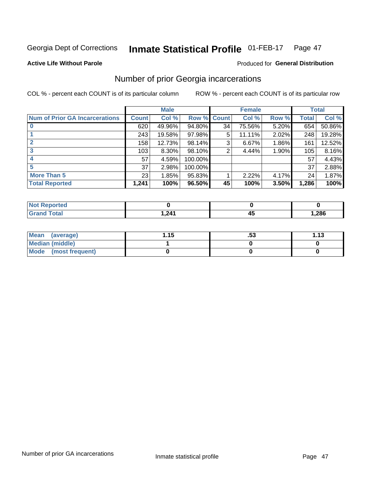#### Inmate Statistical Profile 01-FEB-17 Page 47

### **Active Life Without Parole**

## Produced for General Distribution

# Number of prior Georgia incarcerations

COL % - percent each COUNT is of its particular column

|                                       |              | <b>Male</b> |                    |    | <b>Female</b> |          |       | <b>Total</b> |
|---------------------------------------|--------------|-------------|--------------------|----|---------------|----------|-------|--------------|
| <b>Num of Prior GA Incarcerations</b> | <b>Count</b> | Col %       | <b>Row % Count</b> |    | Col %         | Row %    | Total | Col %        |
|                                       | 620          | 49.96%      | 94.80%             | 34 | 75.56%        | 5.20%    | 654   | 50.86%       |
|                                       | 243          | 19.58%      | 97.98%             | 5  | 11.11%        | 2.02%    | 248   | 19.28%       |
|                                       | 158          | 12.73%      | 98.14%             | 3  | 6.67%         | $1.86\%$ | 161   | 12.52%       |
| 3                                     | 103          | 8.30%       | 98.10%             | 2  | 4.44%         | 1.90%    | 105   | 8.16%        |
| 4                                     | 57           | 4.59%       | 100.00%            |    |               |          | 57    | 4.43%        |
| 5                                     | 37           | 2.98%       | 100.00%            |    |               |          | 37    | 2.88%        |
| <b>More Than 5</b>                    | 23           | 1.85%       | 95.83%             |    | 2.22%         | 4.17%    | 24    | 1.87%        |
| <b>Total Reported</b>                 | 1,241        | 100%        | 96.50%             | 45 | 100%          | 3.50%    | 1,286 | 100%         |

| <b>orted</b>                    |          |    |       |
|---------------------------------|----------|----|-------|
| <b>otal</b><br>$\mathbf{v}$ and | .21<br>. | די | 1,286 |

| Mean (average)       | 1.15 | . JJ | 1.13 |
|----------------------|------|------|------|
| Median (middle)      |      |      |      |
| Mode (most frequent) |      |      |      |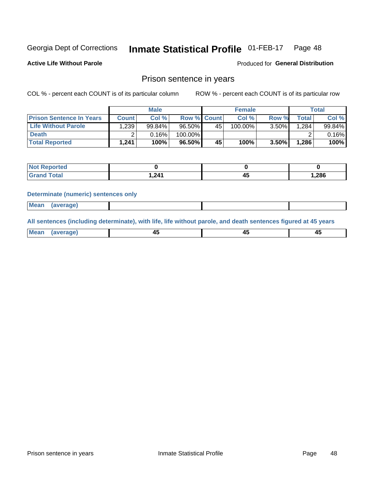#### Inmate Statistical Profile 01-FEB-17 Page 48

**Active Life Without Parole** 

Produced for General Distribution

# Prison sentence in years

COL % - percent each COUNT is of its particular column

ROW % - percent each COUNT is of its particular row

|                                 | <b>Male</b>  |        |                    | <b>Female</b> |            |          | Total       |        |
|---------------------------------|--------------|--------|--------------------|---------------|------------|----------|-------------|--------|
| <b>Prison Sentence In Years</b> | <b>Count</b> | Col %  | <b>Row % Count</b> |               | Col %      | Row %    | $\tau$ otal | Col %  |
| <b>Life Without Parole</b>      | .239         | 99.84% | $96.50\%$          | 45            | $100.00\%$ | $3.50\%$ | 1,284       | 99.84% |
| <b>Death</b>                    |              | 0.16%  | 100.00%            |               |            |          |             | 0.16%  |
| <b>Total Reported</b>           | 1,241        | 100%   | 96.50%             | 45            | 100%       | $3.50\%$ | 1,286       | 100%   |

| ported      |        |       |
|-------------|--------|-------|
| <b>otal</b> | 241. ا | 1,286 |

### **Determinate (numeric) sentences only**

| ' Mea<br><b>Service</b> A<br>ЯМА. |  |  |  |
|-----------------------------------|--|--|--|
|                                   |  |  |  |

All sentences (including determinate), with life, life without parole, and death sentences figured at 45 years

| MС<br>a r -<br>-- |         |  |  |
|-------------------|---------|--|--|
|                   | ------- |  |  |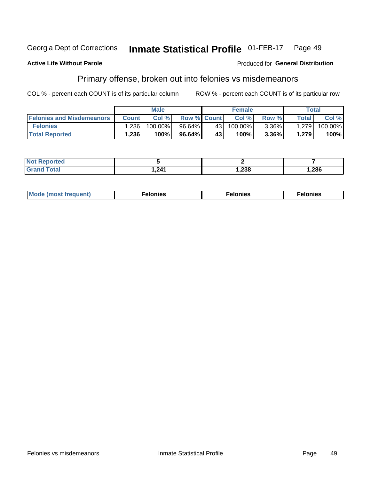#### Inmate Statistical Profile 01-FEB-17 Georgia Dept of Corrections Page 49

### **Active Life Without Parole**

### Produced for General Distribution

# Primary offense, broken out into felonies vs misdemeanors

COL % - percent each COUNT is of its particular column

|                                  | <b>Male</b>  |         |                    | <b>Female</b> |         |          | Total              |         |
|----------------------------------|--------------|---------|--------------------|---------------|---------|----------|--------------------|---------|
| <b>Felonies and Misdemeanors</b> | <b>Count</b> | Col%    | <b>Row % Count</b> |               | Col%    | Row %    | Total <sub>1</sub> | Col %   |
| <b>Felonies</b>                  | .236         | 100.00% | 96.64%             | 43            | 100.00% | $3.36\%$ | 1,279              | 100.00% |
| <b>Total Reported</b>            | .236         | $100\%$ | 96.64%             | $43^{\circ}$  | 100%    | 3.36%    | 1,279              | 100%    |

| <b>Not Reported</b>          |       |        |      |
|------------------------------|-------|--------|------|
| <b>Total</b><br><b>Grand</b> | 241.ا | 238, ا | ,286 |

| <b>Mode</b><br>frequent)<br>nies<br>≧ (most tr.<br>. | onies<br>. | lonies<br>ею<br>____ |
|------------------------------------------------------|------------|----------------------|
|------------------------------------------------------|------------|----------------------|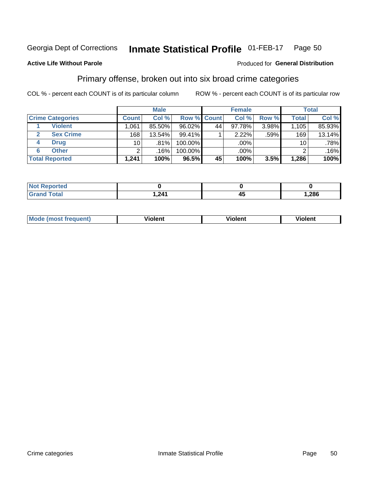#### **Inmate Statistical Profile 01-FEB-17** Page 50

### **Active Life Without Parole**

### Produced for General Distribution

# Primary offense, broken out into six broad crime categories

COL % - percent each COUNT is of its particular column

|                         | <b>Male</b>     |        |           | <b>Female</b> |           |       | <b>Total</b>    |        |
|-------------------------|-----------------|--------|-----------|---------------|-----------|-------|-----------------|--------|
| <b>Crime Categories</b> | <b>Count</b>    | Col %  |           | Row % Count   | Col %     | Row % | <b>Total</b>    | Col %  |
| <b>Violent</b>          | 1,061           | 85.50% | $96.02\%$ | 44            | $97.78\%$ | 3.98% | 1,105           | 85.93% |
| <b>Sex Crime</b>        | 168             | 13.54% | 99.41%    |               | 2.22%     | .59%  | 169             | 13.14% |
| <b>Drug</b><br>4        | 10 <sup>1</sup> | .81%   | 100.00%   |               | .00%      |       | 10 <sup>1</sup> | .78%   |
| <b>Other</b><br>6       | 2               | .16%   | 100.00%   |               | .00%      |       | ົ               | .16%   |
| <b>Total Reported</b>   | 1,241           | 100%   | 96.5%     | 45            | 100%      | 3.5%  | 1,286           | 100%   |

| <b>Not Reported</b> |      |      |
|---------------------|------|------|
| $T0+0'$             | .211 | ,286 |

| <b>Mode (most frequent)</b> | <br>'iolent | Violent | --<br><b>Violent</b> |
|-----------------------------|-------------|---------|----------------------|
|                             |             |         |                      |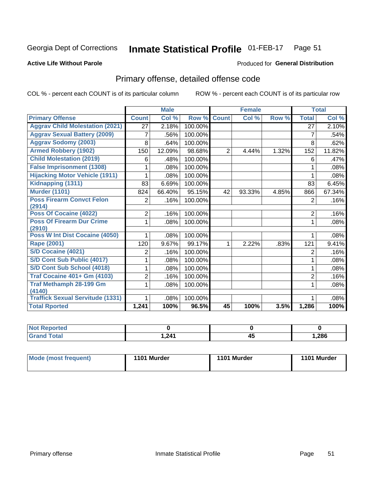#### Inmate Statistical Profile 01-FEB-17 Page 51

### **Active Life Without Parole**

### Produced for General Distribution

# Primary offense, detailed offense code

COL % - percent each COUNT is of its particular column

|                                            |                | <b>Male</b> |         |              | <b>Female</b> |       |                | <b>Total</b> |
|--------------------------------------------|----------------|-------------|---------|--------------|---------------|-------|----------------|--------------|
| <b>Primary Offense</b>                     | <b>Count</b>   | Col %       | Row %   | <b>Count</b> | Col %         | Row % | <b>Total</b>   | Col %        |
| <b>Aggrav Child Molestation (2021)</b>     | 27             | 2.18%       | 100.00% |              |               |       | 27             | 2.10%        |
| <b>Aggrav Sexual Battery (2009)</b>        | 7              | .56%        | 100.00% |              |               |       | 7              | .54%         |
| <b>Aggrav Sodomy (2003)</b>                | 8              | .64%        | 100.00% |              |               |       | 8              | .62%         |
| <b>Armed Robbery (1902)</b>                | 150            | 12.09%      | 98.68%  | 2            | 4.44%         | 1.32% | 152            | 11.82%       |
| <b>Child Molestation (2019)</b>            | 6              | .48%        | 100.00% |              |               |       | 6              | .47%         |
| <b>False Imprisonment (1308)</b>           |                | .08%        | 100.00% |              |               |       | 1              | .08%         |
| <b>Hijacking Motor Vehicle (1911)</b>      |                | .08%        | 100.00% |              |               |       | 1              | .08%         |
| Kidnapping (1311)                          | 83             | 6.69%       | 100.00% |              |               |       | 83             | 6.45%        |
| <b>Murder (1101)</b>                       | 824            | 66.40%      | 95.15%  | 42           | 93.33%        | 4.85% | 866            | 67.34%       |
| <b>Poss Firearm Convct Felon</b>           | 2              | .16%        | 100.00% |              |               |       | 2              | .16%         |
| (2914)                                     |                |             |         |              |               |       |                |              |
| Poss Of Cocaine (4022)                     | 2              | .16%        | 100.00% |              |               |       | $\overline{2}$ | .16%         |
| <b>Poss Of Firearm Dur Crime</b><br>(2910) | 1              | .08%        | 100.00% |              |               |       | 1              | .08%         |
| Poss W Int Dist Cocaine (4050)             |                | .08%        | 100.00% |              |               |       |                | .08%         |
| <b>Rape (2001)</b>                         | 120            | 9.67%       | 99.17%  |              | 2.22%         | .83%  | 121            | 9.41%        |
| S/D Cocaine (4021)                         | 2              | .16%        | 100.00% |              |               |       | $\overline{2}$ | .16%         |
| S/D Cont Sub Public (4017)                 |                | .08%        | 100.00% |              |               |       | 1              | .08%         |
| S/D Cont Sub School (4018)                 |                | .08%        | 100.00% |              |               |       | 1              | .08%         |
| <b>Traf Cocaine 401+ Gm (4103)</b>         | $\overline{2}$ | .16%        | 100.00% |              |               |       | $\overline{2}$ | .16%         |
| <b>Traf Methamph 28-199 Gm</b>             | 1              | .08%        | 100.00% |              |               |       | 1              | .08%         |
| (4140)                                     |                |             |         |              |               |       |                |              |
| <b>Traffick Sexual Servitude (1331)</b>    | 1              | .08%        | 100.00% |              |               |       | 1              | .08%         |
| <b>Total Rported</b>                       | 1,241          | 100%        | 96.5%   | 45           | 100%          | 3.5%  | 1,286          | 100%         |

| rted |            |   |        |
|------|------------|---|--------|
| υιαι | 1.24'<br>. | ≁ | 286, ا |

| Mode (most frequent) | 1101 Murder | 1101 Murder | 1101 Murder |
|----------------------|-------------|-------------|-------------|
|                      |             |             |             |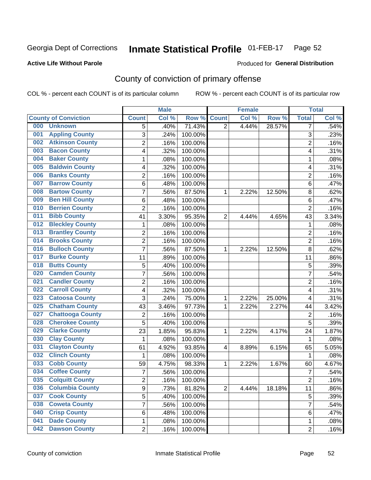#### Inmate Statistical Profile 01-FEB-17 Page 52

### **Active Life Without Parole**

### Produced for General Distribution

# County of conviction of primary offense

COL % - percent each COUNT is of its particular column

|                                |                | <b>Male</b> |         |                | <b>Female</b> |        |                | <b>Total</b> |
|--------------------------------|----------------|-------------|---------|----------------|---------------|--------|----------------|--------------|
| <b>County of Conviction</b>    | <b>Count</b>   | Col %       | Row %   | <b>Count</b>   | Col %         | Row %  | <b>Total</b>   | Col %        |
| 000<br><b>Unknown</b>          | 5              | .40%        | 71.43%  | $\overline{2}$ | 4.44%         | 28.57% | 7              | .54%         |
| <b>Appling County</b><br>001   | 3              | .24%        | 100.00% |                |               |        | 3              | .23%         |
| <b>Atkinson County</b><br>002  | $\overline{c}$ | .16%        | 100.00% |                |               |        | $\overline{2}$ | .16%         |
| <b>Bacon County</b><br>003     | 4              | .32%        | 100.00% |                |               |        | 4              | .31%         |
| <b>Baker County</b><br>004     | 1              | .08%        | 100.00% |                |               |        | 1              | .08%         |
| <b>Baldwin County</b><br>005   | 4              | .32%        | 100.00% |                |               |        | 4              | .31%         |
| <b>Banks County</b><br>006     | $\overline{c}$ | .16%        | 100.00% |                |               |        | $\overline{2}$ | .16%         |
| <b>Barrow County</b><br>007    | 6              | .48%        | 100.00% |                |               |        | 6              | .47%         |
| <b>Bartow County</b><br>008    | $\overline{7}$ | .56%        | 87.50%  | 1              | 2.22%         | 12.50% | 8              | .62%         |
| <b>Ben Hill County</b><br>009  | 6              | .48%        | 100.00% |                |               |        | 6              | .47%         |
| <b>Berrien County</b><br>010   | $\overline{c}$ | .16%        | 100.00% |                |               |        | $\overline{2}$ | .16%         |
| <b>Bibb County</b><br>011      | 41             | 3.30%       | 95.35%  | $\overline{2}$ | 4.44%         | 4.65%  | 43             | 3.34%        |
| <b>Bleckley County</b><br>012  | 1              | .08%        | 100.00% |                |               |        | 1              | .08%         |
| <b>Brantley County</b><br>013  | $\overline{c}$ | .16%        | 100.00% |                |               |        | $\overline{2}$ | .16%         |
| <b>Brooks County</b><br>014    | $\overline{2}$ | .16%        | 100.00% |                |               |        | $\overline{2}$ | .16%         |
| <b>Bulloch County</b><br>016   | $\overline{7}$ | .56%        | 87.50%  | 1              | 2.22%         | 12.50% | 8              | .62%         |
| <b>Burke County</b><br>017     | 11             | .89%        | 100.00% |                |               |        | 11             | .86%         |
| <b>Butts County</b><br>018     | 5              | .40%        | 100.00% |                |               |        | 5              | .39%         |
| <b>Camden County</b><br>020    | $\overline{7}$ | .56%        | 100.00% |                |               |        | $\overline{7}$ | .54%         |
| <b>Candler County</b><br>021   | $\overline{2}$ | .16%        | 100.00% |                |               |        | $\overline{2}$ | .16%         |
| <b>Carroll County</b><br>022   | 4              | .32%        | 100.00% |                |               |        | 4              | .31%         |
| <b>Catoosa County</b><br>023   | $\overline{3}$ | .24%        | 75.00%  | 1              | 2.22%         | 25.00% | 4              | .31%         |
| <b>Chatham County</b><br>025   | 43             | 3.46%       | 97.73%  | 1              | 2.22%         | 2.27%  | 44             | 3.42%        |
| <b>Chattooga County</b><br>027 | $\overline{2}$ | .16%        | 100.00% |                |               |        | $\overline{2}$ | .16%         |
| <b>Cherokee County</b><br>028  | 5              | .40%        | 100.00% |                |               |        | 5              | .39%         |
| <b>Clarke County</b><br>029    | 23             | 1.85%       | 95.83%  | 1              | 2.22%         | 4.17%  | 24             | 1.87%        |
| <b>Clay County</b><br>030      | 1              | .08%        | 100.00% |                |               |        | 1              | .08%         |
| <b>Clayton County</b><br>031   | 61             | 4.92%       | 93.85%  | $\overline{4}$ | 8.89%         | 6.15%  | 65             | 5.05%        |
| <b>Clinch County</b><br>032    | 1              | .08%        | 100.00% |                |               |        | 1              | .08%         |
| <b>Cobb County</b><br>033      | 59             | 4.75%       | 98.33%  | 1              | 2.22%         | 1.67%  | 60             | 4.67%        |
| <b>Coffee County</b><br>034    | $\overline{7}$ | .56%        | 100.00% |                |               |        | $\overline{7}$ | .54%         |
| 035<br><b>Colquitt County</b>  | 2              | .16%        | 100.00% |                |               |        | $\overline{c}$ | .16%         |
| <b>Columbia County</b><br>036  | 9              | .73%        | 81.82%  | $\overline{2}$ | 4.44%         | 18.18% | 11             | .86%         |
| 037<br><b>Cook County</b>      | 5              | .40%        | 100.00% |                |               |        | 5              | .39%         |
| <b>Coweta County</b><br>038    | 7              | .56%        | 100.00% |                |               |        | $\overline{7}$ | .54%         |
| <b>Crisp County</b><br>040     | 6              | .48%        | 100.00% |                |               |        | 6              | .47%         |
| <b>Dade County</b><br>041      | 1              | .08%        | 100.00% |                |               |        | 1              | .08%         |
| <b>Dawson County</b><br>042    | $\overline{2}$ | .16%        | 100.00% |                |               |        | $\overline{2}$ | .16%         |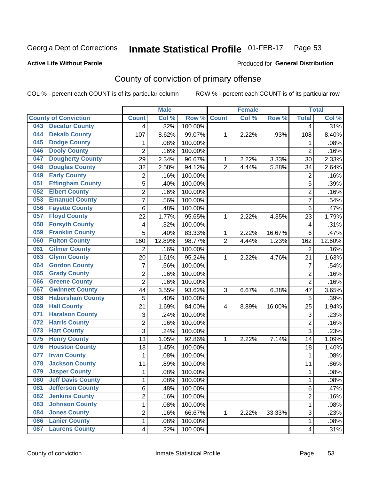#### Inmate Statistical Profile 01-FEB-17 Page 53

### **Active Life Without Parole**

### Produced for General Distribution

# County of conviction of primary offense

COL % - percent each COUNT is of its particular column

|                             |                          |                | <b>Male</b> |         |                | <b>Female</b> |        |                         | <b>Total</b> |
|-----------------------------|--------------------------|----------------|-------------|---------|----------------|---------------|--------|-------------------------|--------------|
| <b>County of Conviction</b> |                          | <b>Count</b>   | Col %       | Row %   | <b>Count</b>   | Col %         | Row %  | <b>Total</b>            | Col %        |
| 043                         | <b>Decatur County</b>    | 4              | .32%        | 100.00% |                |               |        | 4                       | .31%         |
| 044                         | <b>Dekalb County</b>     | 107            | 8.62%       | 99.07%  | 1              | 2.22%         | .93%   | 108                     | 8.40%        |
| 045                         | <b>Dodge County</b>      | 1              | .08%        | 100.00% |                |               |        | 1                       | .08%         |
| 046                         | <b>Dooly County</b>      | $\overline{2}$ | .16%        | 100.00% |                |               |        | $\overline{2}$          | .16%         |
| 047                         | <b>Dougherty County</b>  | 29             | 2.34%       | 96.67%  | 1              | 2.22%         | 3.33%  | 30                      | 2.33%        |
| 048                         | <b>Douglas County</b>    | 32             | 2.58%       | 94.12%  | $\overline{2}$ | 4.44%         | 5.88%  | 34                      | 2.64%        |
| 049                         | <b>Early County</b>      | $\overline{2}$ | .16%        | 100.00% |                |               |        | $\overline{2}$          | .16%         |
| 051                         | <b>Effingham County</b>  | 5              | .40%        | 100.00% |                |               |        | 5                       | .39%         |
| 052                         | <b>Elbert County</b>     | $\overline{2}$ | .16%        | 100.00% |                |               |        | $\overline{2}$          | .16%         |
| 053                         | <b>Emanuel County</b>    | $\overline{7}$ | .56%        | 100.00% |                |               |        | $\overline{7}$          | .54%         |
| 056                         | <b>Fayette County</b>    | 6              | .48%        | 100.00% |                |               |        | 6                       | .47%         |
| 057                         | <b>Floyd County</b>      | 22             | 1.77%       | 95.65%  | 1              | 2.22%         | 4.35%  | 23                      | 1.79%        |
| 058                         | <b>Forsyth County</b>    | 4              | .32%        | 100.00% |                |               |        | $\overline{\mathbf{4}}$ | .31%         |
| 059                         | <b>Franklin County</b>   | 5              | .40%        | 83.33%  | 1              | 2.22%         | 16.67% | 6                       | .47%         |
| 060                         | <b>Fulton County</b>     | 160            | 12.89%      | 98.77%  | $\overline{2}$ | 4.44%         | 1.23%  | 162                     | 12.60%       |
| 061                         | <b>Gilmer County</b>     | $\overline{2}$ | .16%        | 100.00% |                |               |        | $\overline{2}$          | .16%         |
| 063                         | <b>Glynn County</b>      | 20             | 1.61%       | 95.24%  | 1              | 2.22%         | 4.76%  | 21                      | 1.63%        |
| 064                         | <b>Gordon County</b>     | 7              | .56%        | 100.00% |                |               |        | $\overline{7}$          | .54%         |
| 065                         | <b>Grady County</b>      | $\overline{2}$ | .16%        | 100.00% |                |               |        | $\overline{2}$          | .16%         |
| 066                         | <b>Greene County</b>     | $\overline{2}$ | .16%        | 100.00% |                |               |        | $\overline{2}$          | .16%         |
| 067                         | <b>Gwinnett County</b>   | 44             | 3.55%       | 93.62%  | 3              | 6.67%         | 6.38%  | 47                      | 3.65%        |
| 068                         | <b>Habersham County</b>  | 5              | .40%        | 100.00% |                |               |        | 5                       | .39%         |
| 069                         | <b>Hall County</b>       | 21             | 1.69%       | 84.00%  | 4              | 8.89%         | 16.00% | 25                      | 1.94%        |
| 071                         | <b>Haralson County</b>   | 3              | .24%        | 100.00% |                |               |        | 3                       | .23%         |
| 072                         | <b>Harris County</b>     | $\overline{2}$ | .16%        | 100.00% |                |               |        | $\overline{2}$          | .16%         |
| 073                         | <b>Hart County</b>       | $\overline{3}$ | .24%        | 100.00% |                |               |        | 3                       | .23%         |
| 075                         | <b>Henry County</b>      | 13             | 1.05%       | 92.86%  | 1              | 2.22%         | 7.14%  | 14                      | 1.09%        |
| 076                         | <b>Houston County</b>    | 18             | 1.45%       | 100.00% |                |               |        | 18                      | 1.40%        |
| 077                         | <b>Irwin County</b>      | $\mathbf{1}$   | .08%        | 100.00% |                |               |        | $\mathbf{1}$            | .08%         |
| 078                         | <b>Jackson County</b>    | 11             | .89%        | 100.00% |                |               |        | 11                      | .86%         |
| 079                         | <b>Jasper County</b>     | 1              | .08%        | 100.00% |                |               |        | 1                       | .08%         |
| 080                         | <b>Jeff Davis County</b> | 1              | .08%        | 100.00% |                |               |        | 1                       | .08%         |
| 081                         | <b>Jefferson County</b>  | 6              | .48%        | 100.00% |                |               |        | 6                       | .47%         |
| 082                         | <b>Jenkins County</b>    | $\overline{2}$ | .16%        | 100.00% |                |               |        | $\overline{2}$          | .16%         |
| 083                         | <b>Johnson County</b>    | 1              | .08%        | 100.00% |                |               |        | $\mathbf{1}$            | .08%         |
| 084                         | <b>Jones County</b>      | $\overline{c}$ | .16%        | 66.67%  | 1              | 2.22%         | 33.33% | 3                       | .23%         |
| 086                         | <b>Lanier County</b>     | 1              | .08%        | 100.00% |                |               |        | $\mathbf{1}$            | .08%         |
| 087                         | <b>Laurens County</b>    | 4              | .32%        | 100.00% |                |               |        | $\overline{\mathbf{4}}$ | $.31\%$      |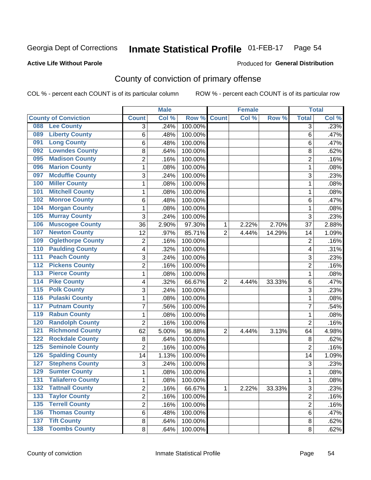#### Inmate Statistical Profile 01-FEB-17 Page 54

### **Active Life Without Parole**

### Produced for General Distribution

# County of conviction of primary offense

COL % - percent each COUNT is of its particular column

|                                        |                          |                | <b>Male</b> |         |                | <b>Female</b> |        |                | <b>Total</b> |
|----------------------------------------|--------------------------|----------------|-------------|---------|----------------|---------------|--------|----------------|--------------|
| <b>County of Conviction</b>            |                          | <b>Count</b>   | Col %       | Row %   | <b>Count</b>   | Col %         | Row %  | <b>Total</b>   | Col %        |
| 088                                    | <b>Lee County</b>        | 3              | .24%        | 100.00% |                |               |        | 3              | .23%         |
| 089                                    | <b>Liberty County</b>    | 6              | .48%        | 100.00% |                |               |        | 6              | .47%         |
| 091                                    | <b>Long County</b>       | 6              | .48%        | 100.00% |                |               |        | 6              | .47%         |
| 092                                    | <b>Lowndes County</b>    | 8              | .64%        | 100.00% |                |               |        | 8              | .62%         |
| 095                                    | <b>Madison County</b>    | $\overline{2}$ | .16%        | 100.00% |                |               |        | $\overline{2}$ | .16%         |
| 096                                    | <b>Marion County</b>     | 1              | .08%        | 100.00% |                |               |        | $\mathbf{1}$   | .08%         |
| 097                                    | <b>Mcduffie County</b>   | 3              | .24%        | 100.00% |                |               |        | 3              | .23%         |
| 100                                    | <b>Miller County</b>     | 1              | .08%        | 100.00% |                |               |        | $\mathbf{1}$   | .08%         |
| 101                                    | <b>Mitchell County</b>   | 1              | .08%        | 100.00% |                |               |        | 1              | .08%         |
| 102                                    | <b>Monroe County</b>     | 6              | .48%        | 100.00% |                |               |        | 6              | .47%         |
| 104                                    | <b>Morgan County</b>     | 1              | .08%        | 100.00% |                |               |        | 1              | .08%         |
| 105                                    | <b>Murray County</b>     | 3              | .24%        | 100.00% |                |               |        | 3              | .23%         |
| 106                                    | <b>Muscogee County</b>   | 36             | 2.90%       | 97.30%  | 1              | 2.22%         | 2.70%  | 37             | 2.88%        |
| 107                                    | <b>Newton County</b>     | 12             | .97%        | 85.71%  | $\overline{2}$ | 4.44%         | 14.29% | 14             | 1.09%        |
| 109                                    | <b>Oglethorpe County</b> | $\overline{2}$ | .16%        | 100.00% |                |               |        | $\overline{2}$ | .16%         |
| 110                                    | <b>Paulding County</b>   | 4              | .32%        | 100.00% |                |               |        | 4              | .31%         |
| 111                                    | <b>Peach County</b>      | 3              | .24%        | 100.00% |                |               |        | 3              | .23%         |
| $\overline{112}$                       | <b>Pickens County</b>    | 2              | .16%        | 100.00% |                |               |        | $\overline{2}$ | .16%         |
| 113                                    | <b>Pierce County</b>     | 1              | .08%        | 100.00% |                |               |        | $\mathbf{1}$   | .08%         |
| $\overline{114}$                       | <b>Pike County</b>       | 4              | .32%        | 66.67%  | $\overline{2}$ | 4.44%         | 33.33% | 6              | .47%         |
| $\overline{115}$                       | <b>Polk County</b>       | 3              | .24%        | 100.00% |                |               |        | 3              | .23%         |
| 116                                    | <b>Pulaski County</b>    | 1              | .08%        | 100.00% |                |               |        | $\mathbf{1}$   | .08%         |
| 117                                    | <b>Putnam County</b>     | 7              | .56%        | 100.00% |                |               |        | $\overline{7}$ | .54%         |
| 119                                    | <b>Rabun County</b>      | 1              | .08%        | 100.00% |                |               |        | $\mathbf{1}$   | .08%         |
| 120                                    | <b>Randolph County</b>   | $\overline{2}$ | .16%        | 100.00% |                |               |        | $\overline{2}$ | .16%         |
| 121                                    | <b>Richmond County</b>   | 62             | 5.00%       | 96.88%  | $\overline{2}$ | 4.44%         | 3.13%  | 64             | 4.98%        |
| 122                                    | <b>Rockdale County</b>   | 8              | .64%        | 100.00% |                |               |        | 8              | .62%         |
| 125                                    | <b>Seminole County</b>   | $\overline{2}$ | .16%        | 100.00% |                |               |        | $\overline{2}$ | .16%         |
| 126                                    | <b>Spalding County</b>   | 14             | 1.13%       | 100.00% |                |               |        | 14             | 1.09%        |
| 127                                    | <b>Stephens County</b>   | 3              | .24%        | 100.00% |                |               |        | 3              | .23%         |
| 129                                    | <b>Sumter County</b>     | 1              | .08%        | 100.00% |                |               |        | 1              | .08%         |
| 131                                    | <b>Taliaferro County</b> | 1              | .08%        | 100.00% |                |               |        | 1              | .08%         |
| 132                                    | <b>Tattnall County</b>   | $\overline{2}$ | .16%        | 66.67%  | 1              | 2.22%         | 33.33% | 3              | .23%         |
| $\overline{133}$                       | <b>Taylor County</b>     | $\overline{2}$ | .16%        | 100.00% |                |               |        | $\overline{2}$ | .16%         |
| 135                                    | <b>Terrell County</b>    | $\overline{2}$ | .16%        | 100.00% |                |               |        | $\overline{2}$ | .16%         |
| 136                                    | <b>Thomas County</b>     | 6              | .48%        | 100.00% |                |               |        | 6              | .47%         |
| <b>Tift County</b><br>$\overline{137}$ |                          | 8              | .64%        | 100.00% |                |               |        | 8              | .62%         |
| <b>138 Toombs County</b>               |                          | 8              | .64%        | 100.00% |                |               |        | 8              | .62%         |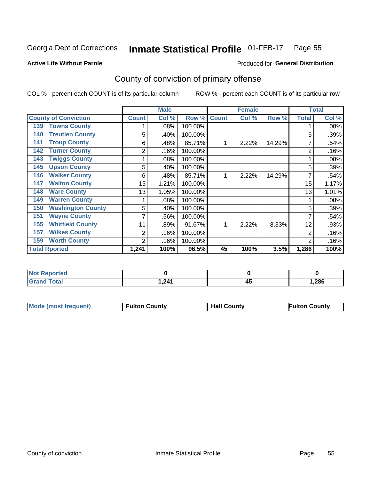#### Inmate Statistical Profile 01-FEB-17 Page 55

Produced for General Distribution

### **Active Life Without Parole**

# County of conviction of primary offense

COL % - percent each COUNT is of its particular column

|                                 |              | <b>Male</b> |         |              | <b>Female</b> |        |                | <b>Total</b> |
|---------------------------------|--------------|-------------|---------|--------------|---------------|--------|----------------|--------------|
| <b>County of Conviction</b>     | <b>Count</b> | Col %       | Row %   | <b>Count</b> | Col %         | Row %  | <b>Total</b>   | Col %        |
| <b>Towns County</b><br>139      |              | .08%        | 100.00% |              |               |        |                | .08%         |
| <b>Treutlen County</b><br>140   | 5            | .40%        | 100.00% |              |               |        | 5              | .39%         |
| <b>Troup County</b><br>141      | 6            | .48%        | 85.71%  |              | 2.22%         | 14.29% |                | .54%         |
| <b>Turner County</b><br>142     | 2            | .16%        | 100.00% |              |               |        | $\overline{2}$ | .16%         |
| <b>Twiggs County</b><br>143     |              | .08%        | 100.00% |              |               |        |                | .08%         |
| 145<br><b>Upson County</b>      | 5            | .40%        | 100.00% |              |               |        | 5              | .39%         |
| <b>Walker County</b><br>146     | 6            | .48%        | 85.71%  |              | 2.22%         | 14.29% |                | .54%         |
| <b>Walton County</b><br>147     | 15           | 1.21%       | 100.00% |              |               |        | 15             | 1.17%        |
| <b>Ware County</b><br>148       | 13           | 1.05%       | 100.00% |              |               |        | 13             | 1.01%        |
| <b>Warren County</b><br>149     |              | $.08\%$     | 100.00% |              |               |        |                | .08%         |
| <b>Washington County</b><br>150 | 5            | .40%        | 100.00% |              |               |        | 5              | .39%         |
| <b>Wayne County</b><br>151      |              | .56%        | 100.00% |              |               |        | 7              | .54%         |
| <b>Whitfield County</b><br>155  | 11           | .89%        | 91.67%  |              | 2.22%         | 8.33%  | 12             | .93%         |
| <b>Wilkes County</b><br>157     | 2            | .16%        | 100.00% |              |               |        | $\overline{2}$ | .16%         |
| <b>Worth County</b><br>159      | 2            | .16%        | 100.00% |              |               |        | $\overline{2}$ | .16%         |
| <b>Total Rported</b>            | 1,241        | 100%        | 96.5%   | 45           | 100%          | 3.5%   | 1,286          | 100%         |

| N<br>$\bullet$ ia (210 |       |          |       |
|------------------------|-------|----------|-------|
|                        | 241,أ | 43<br>__ | 1,286 |

| <b>Mode (most frequent)</b> | <b>Fulton County</b> | <b>Hall County</b> | <b>Fulton County</b> |
|-----------------------------|----------------------|--------------------|----------------------|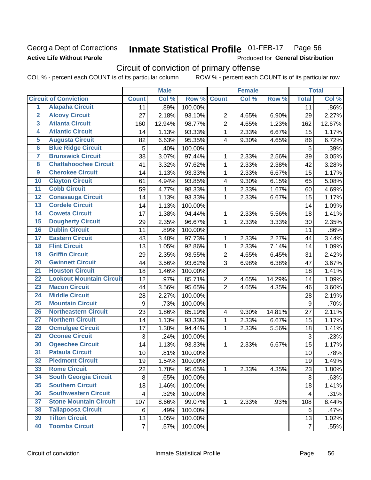# Georgia Dept of Corrections **Active Life Without Parole**

### **Inmate Statistical Profile 01-FEB-17** Page 56

Produced for General Distribution

# Circuit of conviction of primary offense

|                         |                                 |                | <b>Male</b> |         |                | <b>Female</b> |        |                | <b>Total</b> |
|-------------------------|---------------------------------|----------------|-------------|---------|----------------|---------------|--------|----------------|--------------|
|                         | <b>Circuit of Conviction</b>    | <b>Count</b>   | Col %       | Row %   | <b>Count</b>   | Col %         | Row %  | <b>Total</b>   | Col %        |
| 1                       | <b>Alapaha Circuit</b>          | 11             | .89%        | 100.00% |                |               |        | 11             | .86%         |
| $\overline{2}$          | <b>Alcovy Circuit</b>           | 27             | 2.18%       | 93.10%  | $\overline{2}$ | 4.65%         | 6.90%  | 29             | 2.27%        |
| $\overline{3}$          | <b>Atlanta Circuit</b>          | 160            | 12.94%      | 98.77%  | $\overline{2}$ | 4.65%         | 1.23%  | 162            | 12.67%       |
| 4                       | <b>Atlantic Circuit</b>         | 14             | 1.13%       | 93.33%  | 1              | 2.33%         | 6.67%  | 15             | 1.17%        |
| $\overline{5}$          | <b>Augusta Circuit</b>          | 82             | 6.63%       | 95.35%  | 4              | 9.30%         | 4.65%  | 86             | 6.72%        |
| $\overline{\bf{6}}$     | <b>Blue Ridge Circuit</b>       | $\overline{5}$ | .40%        | 100.00% |                |               |        | 5              | .39%         |
| 7                       | <b>Brunswick Circuit</b>        | 38             | 3.07%       | 97.44%  | 1              | 2.33%         | 2.56%  | 39             | 3.05%        |
| $\overline{\mathbf{8}}$ | <b>Chattahoochee Circuit</b>    | 41             | 3.32%       | 97.62%  | 1              | 2.33%         | 2.38%  | 42             | 3.28%        |
| $\overline{9}$          | <b>Cherokee Circuit</b>         | 14             | 1.13%       | 93.33%  | 1              | 2.33%         | 6.67%  | 15             | 1.17%        |
| 10                      | <b>Clayton Circuit</b>          | 61             | 4.94%       | 93.85%  | 4              | 9.30%         | 6.15%  | 65             | 5.08%        |
| $\overline{11}$         | <b>Cobb Circuit</b>             | 59             | 4.77%       | 98.33%  | $\mathbf{1}$   | 2.33%         | 1.67%  | 60             | 4.69%        |
| $\overline{12}$         | <b>Conasauga Circuit</b>        | 14             | 1.13%       | 93.33%  | 1              | 2.33%         | 6.67%  | 15             | 1.17%        |
| 13                      | <b>Cordele Circuit</b>          | 14             | 1.13%       | 100.00% |                |               |        | 14             | 1.09%        |
| 14                      | <b>Coweta Circuit</b>           | 17             | 1.38%       | 94.44%  | 1              | 2.33%         | 5.56%  | 18             | 1.41%        |
| 15                      | <b>Dougherty Circuit</b>        | 29             | 2.35%       | 96.67%  | 1              | 2.33%         | 3.33%  | 30             | 2.35%        |
| 16                      | <b>Dublin Circuit</b>           | 11             | .89%        | 100.00% |                |               |        | 11             | .86%         |
| 17                      | <b>Eastern Circuit</b>          | 43             | 3.48%       | 97.73%  | 1              | 2.33%         | 2.27%  | 44             | 3.44%        |
| $\overline{18}$         | <b>Flint Circuit</b>            | 13             | 1.05%       | 92.86%  | 1              | 2.33%         | 7.14%  | 14             | 1.09%        |
| 19                      | <b>Griffin Circuit</b>          | 29             | 2.35%       | 93.55%  | $\overline{2}$ | 4.65%         | 6.45%  | 31             | 2.42%        |
| $\overline{20}$         | <b>Gwinnett Circuit</b>         | 44             | 3.56%       | 93.62%  | 3              | 6.98%         | 6.38%  | 47             | 3.67%        |
| $\overline{21}$         | <b>Houston Circuit</b>          | 18             | 1.46%       | 100.00% |                |               |        | 18             | 1.41%        |
| $\overline{22}$         | <b>Lookout Mountain Circuit</b> | 12             | .97%        | 85.71%  | $\overline{2}$ | 4.65%         | 14.29% | 14             | 1.09%        |
| 23                      | <b>Macon Circuit</b>            | 44             | 3.56%       | 95.65%  | $\overline{2}$ | 4.65%         | 4.35%  | 46             | 3.60%        |
| $\overline{24}$         | <b>Middle Circuit</b>           | 28             | 2.27%       | 100.00% |                |               |        | 28             | 2.19%        |
| $\overline{25}$         | <b>Mountain Circuit</b>         | 9              | .73%        | 100.00% |                |               |        | $9\,$          | .70%         |
| 26                      | <b>Northeastern Circuit</b>     | 23             | 1.86%       | 85.19%  | $\overline{4}$ | 9.30%         | 14.81% | 27             | 2.11%        |
| $\overline{27}$         | <b>Northern Circuit</b>         | 14             | 1.13%       | 93.33%  | 1              | 2.33%         | 6.67%  | 15             | 1.17%        |
| 28                      | <b>Ocmulgee Circuit</b>         | 17             | 1.38%       | 94.44%  | 1              | 2.33%         | 5.56%  | 18             | 1.41%        |
| 29                      | <b>Oconee Circuit</b>           | 3              | .24%        | 100.00% |                |               |        | 3              | .23%         |
| 30                      | <b>Ogeechee Circuit</b>         | 14             | 1.13%       | 93.33%  | 1              | 2.33%         | 6.67%  | 15             | 1.17%        |
| $\overline{31}$         | <b>Pataula Circuit</b>          | 10             | .81%        | 100.00% |                |               |        | 10             | .78%         |
| 32                      | <b>Piedmont Circuit</b>         | 19             | 1.54%       | 100.00% |                |               |        | 19             | 1.49%        |
| 33                      | <b>Rome Circuit</b>             | 22             | 1.78%       | 95.65%  | $\mathbf{1}$   | 2.33%         | 4.35%  | 23             | 1.80%        |
| 34                      | <b>South Georgia Circuit</b>    | 8              | .65%        | 100.00% |                |               |        | 8              | .63%         |
| 35                      | <b>Southern Circuit</b>         | 18             | 1.46%       | 100.00% |                |               |        | 18             | 1.41%        |
| 36                      | <b>Southwestern Circuit</b>     | 4              | .32%        | 100.00% |                |               |        | 4              | .31%         |
| 37                      | <b>Stone Mountain Circuit</b>   | 107            | 8.66%       | 99.07%  | 1              | 2.33%         | .93%   | 108            | 8.44%        |
| 38                      | <b>Tallapoosa Circuit</b>       | 6              | .49%        | 100.00% |                |               |        | 6              | .47%         |
| 39                      | <b>Tifton Circuit</b>           | 13             | 1.05%       | 100.00% |                |               |        | 13             | 1.02%        |
| 40                      | <b>Toombs Circuit</b>           | $\overline{7}$ | .57%        | 100.00% |                |               |        | $\overline{7}$ | .55%         |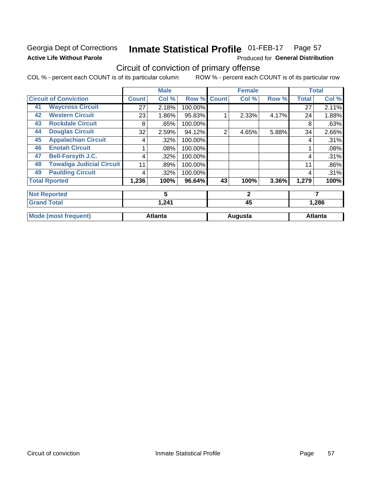# Georgia Dept of Corrections **Active Life Without Parole**

### Inmate Statistical Profile 01-FEB-17 Page 57

Produced for General Distribution

# Circuit of conviction of primary offense

|    |                                  |       | <b>Male</b>    |         |                | <b>Female</b> |       |              | <b>Total</b>   |
|----|----------------------------------|-------|----------------|---------|----------------|---------------|-------|--------------|----------------|
|    | <b>Circuit of Conviction</b>     | Count | Col %          | Row %   | <b>Count</b>   | Col %         | Row % | <b>Total</b> | Col %          |
| 41 | <b>Waycross Circuit</b>          | 27    | 2.18%          | 100.00% |                |               |       | 27           | 2.11%          |
| 42 | <b>Western Circuit</b>           | 23    | $1.86\%$       | 95.83%  |                | 2.33%         | 4.17% | 24           | 1.88%          |
| 43 | <b>Rockdale Circuit</b>          | 8     | .65%           | 100.00% |                |               |       | 8            | .63%           |
| 44 | <b>Douglas Circuit</b>           | 32    | 2.59%          | 94.12%  | $\overline{2}$ | 4.65%         | 5.88% | 34           | 2.66%          |
| 45 | <b>Appalachian Circuit</b>       | 4     | .32%           | 100.00% |                |               |       | 4            | .31%           |
| 46 | <b>Enotah Circuit</b>            |       | .08%           | 100.00% |                |               |       |              | .08%           |
| 47 | <b>Bell-Forsyth J.C.</b>         | 4     | .32%           | 100.00% |                |               |       | 4            | .31%           |
| 48 | <b>Towaliga Judicial Circuit</b> | 11    | .89%           | 100.00% |                |               |       | 11           | .86%           |
| 49 | <b>Paulding Circuit</b>          | 4     | .32%           | 100.00% |                |               |       | 4            | .31%           |
|    | <b>Total Rported</b>             | 1,236 | 100%           | 96.64%  | 43             | 100%          | 3.36% | 1,279        | 100%           |
|    | <b>Not Reported</b>              |       | 5              |         |                | $\mathbf{2}$  |       |              | 7              |
|    | <b>Grand Total</b>               |       | 1,241          |         |                | 45            |       |              | 1,286          |
|    | <b>Mode (most frequent)</b>      |       | <b>Atlanta</b> |         |                | Augusta       |       |              | <b>Atlanta</b> |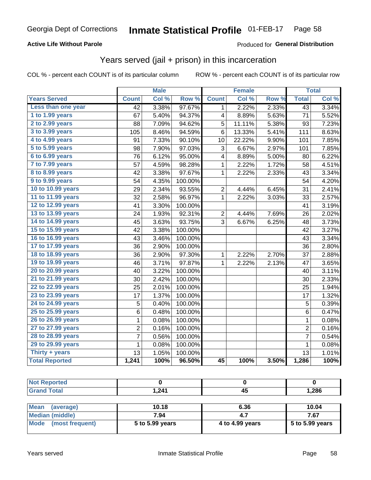# **Active Life Without Parole**

# Produced for General Distribution

# Years served (jail + prison) in this incarceration

COL % - percent each COUNT is of its particular column

|                        |                | <b>Male</b> |         |                 | <b>Female</b> |       |                         | <b>Total</b> |
|------------------------|----------------|-------------|---------|-----------------|---------------|-------|-------------------------|--------------|
| <b>Years Served</b>    | <b>Count</b>   | Col %       | Row %   | <b>Count</b>    | Col %         | Row % | <b>Total</b>            | Col %        |
| Less than one year     | 42             | 3.38%       | 97.67%  | 1               | 2.22%         | 2.33% | $\overline{43}$         | 3.34%        |
| 1 to 1.99 years        | 67             | 5.40%       | 94.37%  | 4               | 8.89%         | 5.63% | 71                      | 5.52%        |
| 2 to 2.99 years        | 88             | 7.09%       | 94.62%  | 5               | 11.11%        | 5.38% | 93                      | 7.23%        |
| 3 to 3.99 years        | 105            | 8.46%       | 94.59%  | 6               | 13.33%        | 5.41% | 111                     | 8.63%        |
| 4 to 4.99 years        | 91             | 7.33%       | 90.10%  | 10              | 22.22%        | 9.90% | 101                     | 7.85%        |
| 5 to 5.99 years        | 98             | 7.90%       | 97.03%  | 3               | 6.67%         | 2.97% | 101                     | 7.85%        |
| 6 to 6.99 years        | 76             | 6.12%       | 95.00%  | 4               | 8.89%         | 5.00% | 80                      | 6.22%        |
| 7 to 7.99 years        | 57             | 4.59%       | 98.28%  | 1               | 2.22%         | 1.72% | 58                      | 4.51%        |
| <b>8 to 8.99 years</b> | 42             | 3.38%       | 97.67%  | 1               | 2.22%         | 2.33% | 43                      | 3.34%        |
| 9 to 9.99 years        | 54             | 4.35%       | 100.00% |                 |               |       | 54                      | 4.20%        |
| 10 to 10.99 years      | 29             | 2.34%       | 93.55%  | 2               | 4.44%         | 6.45% | 31                      | 2.41%        |
| 11 to 11.99 years      | 32             | 2.58%       | 96.97%  | 1               | 2.22%         | 3.03% | 33                      | 2.57%        |
| 12 to 12.99 years      | 41             | 3.30%       | 100.00% |                 |               |       | 41                      | 3.19%        |
| 13 to 13.99 years      | 24             | 1.93%       | 92.31%  | $\overline{c}$  | 4.44%         | 7.69% | 26                      | 2.02%        |
| 14 to 14.99 years      | 45             | 3.63%       | 93.75%  | 3               | 6.67%         | 6.25% | 48                      | 3.73%        |
| 15 to 15.99 years      | 42             | 3.38%       | 100.00% |                 |               |       | 42                      | 3.27%        |
| 16 to 16.99 years      | 43             | 3.46%       | 100.00% |                 |               |       | 43                      | 3.34%        |
| 17 to 17.99 years      | 36             | 2.90%       | 100.00% |                 |               |       | 36                      | 2.80%        |
| 18 to 18.99 years      | 36             | 2.90%       | 97.30%  | 1               | 2.22%         | 2.70% | 37                      | 2.88%        |
| 19 to 19.99 years      | 46             | 3.71%       | 97.87%  | $\mathbf{1}$    | 2.22%         | 2.13% | 47                      | 3.65%        |
| 20 to 20.99 years      | 40             | 3.22%       | 100.00% |                 |               |       | 40                      | 3.11%        |
| 21 to 21.99 years      | 30             | 2.42%       | 100.00% |                 |               |       | 30                      | 2.33%        |
| 22 to 22.99 years      | 25             | 2.01%       | 100.00% |                 |               |       | 25                      | 1.94%        |
| 23 to 23.99 years      | 17             | 1.37%       | 100.00% |                 |               |       | 17                      | 1.32%        |
| 24 to 24.99 years      | 5              | 0.40%       | 100.00% |                 |               |       | 5                       | 0.39%        |
| 25 to 25.99 years      | 6              | 0.48%       | 100.00% |                 |               |       | $\,6$                   | 0.47%        |
| 26 to 26.99 years      | $\mathbf 1$    | 0.08%       | 100.00% |                 |               |       | $\mathbf 1$             | 0.08%        |
| 27 to 27.99 years      | 2              | 0.16%       | 100.00% |                 |               |       | $\overline{\mathbf{c}}$ | 0.16%        |
| 28 to 28.99 years      | $\overline{7}$ | 0.56%       | 100.00% |                 |               |       | $\overline{7}$          | 0.54%        |
| 29 to 29.99 years      | 1              | 0.08%       | 100.00% |                 |               |       | $\mathbf 1$             | 0.08%        |
| Thirty + years         | 13             | 1.05%       | 100.00% |                 |               |       | 13                      | 1.01%        |
| <b>Total Reported</b>  | 1,241          | 100%        | 96.50%  | $\overline{45}$ | 100%          | 3.50% | 1,286                   | 100%         |

| <b>Not Reported</b>      |       |      |       |  |
|--------------------------|-------|------|-------|--|
| <b>Grand Total</b>       | 1,241 | 45   | 1,286 |  |
|                          |       |      |       |  |
| <b>Mean</b><br>(average) | 10.18 | 6.36 | 10.04 |  |

| $ N$ urdi $ N $         | 1V. IO          | סכ.ס            | 1 V.V4            |
|-------------------------|-----------------|-----------------|-------------------|
| Median (middle)         | 7.94            |                 | 7.67              |
| Mode<br>(most frequent) | 5 to 5.99 years | 4 to 4.99 years | $5$ to 5.99 years |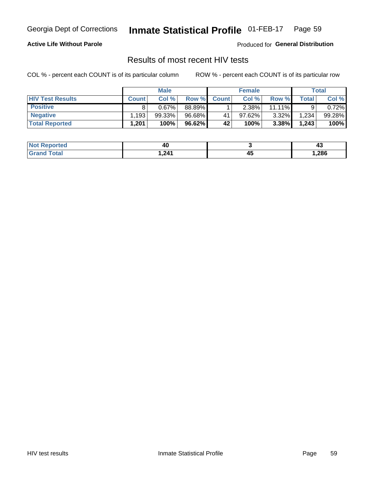#### Inmate Statistical Profile 01-FEB-17 Page 59

## **Active Life Without Parole**

Produced for General Distribution

# Results of most recent HIV tests

COL % - percent each COUNT is of its particular column

|                         | <b>Male</b>  |        |        | <b>Female</b> |          |           | Total       |        |
|-------------------------|--------------|--------|--------|---------------|----------|-----------|-------------|--------|
| <b>HIV Test Results</b> | <b>Count</b> | Col%   | Row %I | <b>Count</b>  | Col %    | Row %     | $\tau$ otal | Col %  |
| <b>Positive</b>         |              | 0.67%  | 88.89% |               | $2.38\%$ | $11.11\%$ |             | 0.72%  |
| <b>Negative</b>         | .193         | 99.33% | 96.68% | 41            | 97.62%   | $3.32\%$  | 1,234       | 99.28% |
| <b>Total Reported</b>   | .201.        | 100%   | 96.62% | 42            | 100%     | 3.38%     | 1,243       | 100%   |

| <b>Not Reported</b> | 40     |         | ,,<br>᠇ |
|---------------------|--------|---------|---------|
| <b>Total</b>        | 241. ا | л-<br>∼ | 286, ا  |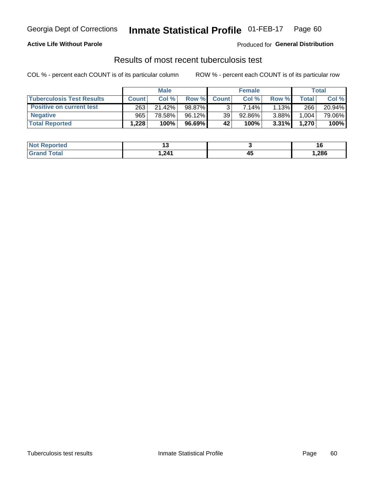# Georgia Dept of Corrections **Inmate Statistical Profile** 01-FEB-17 Page 60

# **Active Life Without Parole**

Produced for **General Distribution**

# Results of most recent tuberculosis test

|                                  | <b>Male</b>  |        |           | <b>Female</b> |        |          | Total        |        |
|----------------------------------|--------------|--------|-----------|---------------|--------|----------|--------------|--------|
| <b>Tuberculosis Test Results</b> | <b>Count</b> | Col%   | Row %I    | <b>Count</b>  | Col%   | Row %    | <b>Total</b> | Col %  |
| <b>Positive on current test</b>  | 263          | 21.42% | 98.87%    |               | 7.14%  | $1.13\%$ | 266          | 20.94% |
| <b>Negative</b>                  | 965          | 78.58% | $96.12\%$ | 39            | 92.86% | $3.88\%$ | .004         | 79.06% |
| <b>Total Reported</b>            | .228         | 100%   | 96.69%    | 42            | 100%   | $3.31\%$ | 1,270        | 100%   |

| <b>Not Reported</b>   |          |              |        |
|-----------------------|----------|--------------|--------|
| <b>Total</b><br>.Gren | 241<br>. | ᠇֊<br>$\sim$ | 286, ا |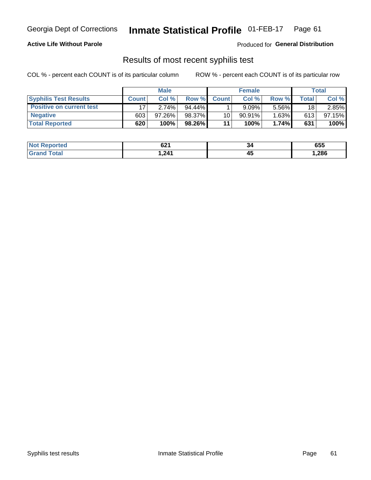# Georgia Dept of Corrections **Inmate Statistical Profile** 01-FEB-17 Page 61

## **Active Life Without Parole**

Produced for **General Distribution**

# Results of most recent syphilis test

|                                 | <b>Male</b>  |           |           | <b>Female</b>   |           |       | Total       |        |
|---------------------------------|--------------|-----------|-----------|-----------------|-----------|-------|-------------|--------|
| <b>Syphilis Test Results</b>    | <b>Count</b> | Col%      | Row %I    | <b>Count</b>    | Col%      | Row % | $\tau$ otal | Col %  |
| <b>Positive on current test</b> |              | 2.74%     | $94.44\%$ |                 | 9.09%     | 5.56% | 18          | 2.85%  |
| <b>Negative</b>                 | 603          | $97.26\%$ | 98.37%    | 10 <sub>1</sub> | $90.91\%$ | 1.63% | 613         | 97.15% |
| <b>Total Reported</b>           | 620          | 100%      | 98.26%    | 11              | 100%      | 1.74% | 631         | 100%   |

| <b>Not Reported</b> | co4<br>04 I | 34 | 655   |
|---------------------|-------------|----|-------|
| <b>Total</b>        | 241. ا      | ∼  | 286,، |